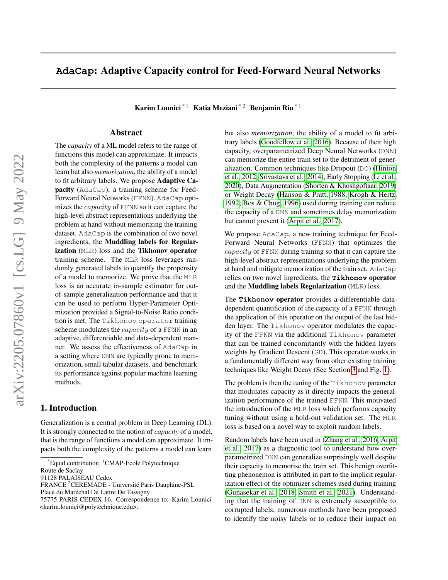# **AdaCap**: Adaptive Capacity control for Feed-Forward Neural Networks

Karim Lounici<sup>\* 1</sup> Katia Meziani<sup>\* 2</sup> Benjamin Riu<sup>\* 1</sup>

## Abstract

The *capacity* of a ML model refers to the range of functions this model can approximate. It impacts both the complexity of the patterns a model can learn but also *memorization*, the ability of a model to fit arbitrary labels. We propose Adaptive Capacity (AdaCap), a training scheme for Feed-Forward Neural Networks (FFNN). AdaCap optimizes the *capacity* of FFNN so it can capture the high-level abstract representations underlying the problem at hand without memorizing the training dataset. AdaCap is the combination of two novel ingredients, the Muddling labels for Regularization (MLR) loss and the Tikhonov operator training scheme. The MLR loss leverages randomly generated labels to quantify the propensity of a model to memorize. We prove that the MLR loss is an accurate in-sample estimator for outof-sample generalization performance and that it can be used to perform Hyper-Parameter Optimization provided a Signal-to-Noise Ratio condition is met. The Tikhonov operator training scheme modulates the *capacity* of a FFNN in an adaptive, differentiable and data-dependent manner. We assess the effectiveness of AdaCap in a setting where DNN are typically prone to memorization, small tabular datasets, and benchmark its performance against popular machine learning methods.

### 1. Introduction

Generalization is a central problem in Deep Learning (DL). It is strongly connected to the notion of *capacity* of a model, that is the range of functions a model can approximate. It impacts both the complexity of the patterns a model can learn

but also *memorization*, the ability of a model to fit arbitrary labels [\(Goodfellow et al., 2016\)](#page-9-0). Because of their high capacity, overparametrized Deep Neural Networks (DNN) can memorize the entire train set to the detriment of generalization. Common techniques like Dropout (DO) [\(Hinton](#page-9-1) [et al., 2012;](#page-9-1) [Srivastava et al., 2014\)](#page-11-0), Early Stopping [\(Li et al.,](#page-10-0) [2020\)](#page-10-0), Data Augmentation [\(Shorten & Khoshgoftaar, 2019\)](#page-10-1) or Weight Decay [\(Hanson & Pratt, 1988;](#page-9-2) [Krogh & Hertz,](#page-10-2) [1992;](#page-10-2) [Bos & Chug, 1996\)](#page-8-0) used during training can reduce the capacity of a DNN and sometimes delay memorization but cannot prevent it [\(Arpit et al., 2017\)](#page-8-1).

We propose AdaCap, a new training technique for Feed-Forward Neural Networks (FFNN) that optimizes the capacity of FFNN during training so that it can capture the high-level abstract representations underlying the problem at hand and mitigate memorization of the train set. AdaCap relies on two novel ingredients, the **Tikhonov** operator and the Muddling labels Regularization (MLR) loss.

The **Tikhonov** operator provides a differentiable datadependent quantification of the capacity of a FFNN through the application of this operator on the output of the last hidden layer. The Tikhonov operator modulates the capacity of the FFNN via the additional Tikhonov parameter that can be trained concomitantly with the hidden layers weights by Gradient Descent (GD). This operator works in a fundamentally different way from other existing training techniques like Weight Decay (See Section [3](#page-3-0) and Fig. [1\)](#page-1-0).

The problem is then the tuning of the Tikhonov parameter that modulates capacity as it directly impacts the generalization performance of the trained FFNN. This motivated the introduction of the MLR loss which performs capacity tuning without using a hold-out validation set. The MLR loss is based on a novel way to exploit random labels.

Random labels have been used in [\(Zhang et al., 2016;](#page-11-1) [Arpit](#page-8-1) [et al., 2017\)](#page-8-1) as a diagnostic tool to understand how overparametrized DNN can generalize surprisingly well despite their capacity to memorise the train set. This benign overfitting phenonemon is attributed in part to the implicit regularization effect of the optimizer schemes used during training [\(Gunasekar et al., 2018;](#page-9-3) [Smith et al., 2021\)](#page-11-2). Understanding that the training of DNN is extremely susceptible to corrupted labels, numerous methods have been proposed to identify the noisy labels or to reduce their impact on

 $E$ Equal contribution  $1$ CMAP-Ecole Polytechnique

Route de Saclay

<sup>91128</sup> PALAISEAU Cedex

FRANCE <sup>2</sup>CEREMADE - Université Paris Dauphine-PSL

Place du Maréchal De Lattre De Tassigny

<sup>75775</sup> PARIS CEDEX 16. Correspondence to: Karim Lounici <karim.lounici@polytechnique.edu>.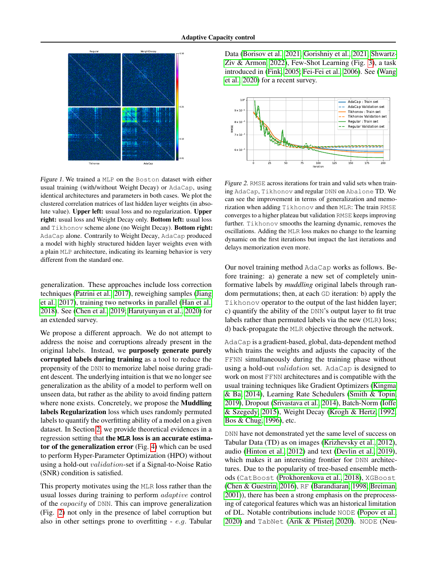

<span id="page-1-0"></span>Figure 1. We trained a MLP on the Boston dataset with either usual training (with/without Weight Decay) or AdaCap, using identical architectures and parameters in both cases. We plot the clustered correlation matrices of last hidden layer weights (in absolute value). Upper left: usual loss and no regularization. Upper right: usual loss and Weight Decay only. Bottom left: usual loss and Tikhonov scheme alone (no Weight Decay). Bottom right: AdaCap alone. Contrarily to Weight Decay, AdaCap produced a model with highly structured hidden layer weights even with a plain MLP architecture, indicating its learning behavior is very different from the standard one.

generalization. These approaches include loss correction techniques [\(Patrini et al., 2017\)](#page-10-3), reweighing samples [\(Jiang](#page-9-4) [et al., 2017\)](#page-9-4), training two networks in parallel [\(Han et al.,](#page-9-5) [2018\)](#page-9-5). See [\(Chen et al., 2019;](#page-8-2) [Harutyunyan et al., 2020\)](#page-9-6) for an extended survey.

We propose a different approach. We do not attempt to address the noise and corruptions already present in the original labels. Instead, we purposely generate purely corrupted labels during training as a tool to reduce the propensity of the DNN to memorize label noise during gradient descent. The underlying intuition is that we no longer see generalization as the ability of a model to perform well on unseen data, but rather as the ability to avoid finding pattern where none exists. Concretely, we propose the Muddling labels Regularization loss which uses randomly permuted labels to quantify the overfitting ability of a model on a given dataset. In Section [2,](#page-2-0) we provide theoretical evidences in a regression setting that the **MLR** loss is an accurate estimator of the generalization error (Fig. [4\)](#page-2-1) which can be used to perform Hyper-Parameter Optimization (HPO) without using a hold-out validation-set if a Signal-to-Noise Ratio (SNR) condition is satisfied.

This property motivates using the MLR loss rather than the usual losses during training to perform adaptive control of the capacity of DNN. This can improve generalization (Fig. [2\)](#page-1-1) not only in the presence of label corruption but also in other settings prone to overfitting  $-e.g.$  Tabular

Data [\(Borisov et al., 2021;](#page-8-3) [Gorishniy et al., 2021;](#page-9-7) [Shwartz-](#page-10-4)[Ziv & Armon, 2022\)](#page-10-4), Few-Shot Learning (Fig. [3\)](#page-2-2), a task introduced in [\(Fink, 2005;](#page-8-4) [Fei-Fei et al., 2006\)](#page-8-5). See [\(Wang](#page-11-3) [et al., 2020\)](#page-11-3) for a recent survey.



<span id="page-1-1"></span>Figure 2. RMSE across iterations for train and valid sets when training AdaCap, Tikhonov and regular DNN on Abalone TD. We can see the improvement in terms of generalization and memorization when adding Tikhonov and then MLR: The train RMSE converges to a higher plateau but validation RMSE keeps improving further. Tikhonov smooths the learning dynamic, removes the oscillations. Adding the MLR loss makes no change to the learning dynamic on the first iterations but impact the last iterations and delays memorization even more.

Our novel training method AdaCap works as follows. Before training: a) generate a new set of completely uninformative labels by *muddling* original labels through random permutations; then, at each GD iteration: b) apply the Tikhonov operator to the output of the last hidden layer; c) quantify the ability of the DNN's output layer to fit true labels rather than permuted labels via the new (MLR) loss; d) back-propagate the MLR objective through the network.

AdaCap is a gradient-based, global, data-dependent method which trains the weights and adjusts the capacity of the FFNN simultaneously during the training phase without using a hold-out validation set. AdaCap is designed to work on most FFNN architectures and is compatible with the usual training techniques like Gradient Optimizers [\(Kingma](#page-10-5) [& Ba, 2014\)](#page-10-5), Learning Rate Schedulers [\(Smith & Topin,](#page-11-4) [2019\)](#page-11-4), Dropout [\(Srivastava et al., 2014\)](#page-11-0), Batch-Norm [\(Ioffe](#page-9-8) [& Szegedy, 2015\)](#page-9-8), Weight Decay [\(Krogh & Hertz, 1992;](#page-10-2) [Bos & Chug, 1996\)](#page-8-0), etc.

DNN have not demonstrated yet the same level of success on Tabular Data (TD) as on images [\(Krizhevsky et al., 2012\)](#page-10-6), audio [\(Hinton et al., 2012\)](#page-9-1) and text [\(Devlin et al., 2019\)](#page-8-6), which makes it an interesting frontier for DNN architectures. Due to the popularity of tree-based ensemble methods (CatBoost [\(Prokhorenkova et al., 2018\)](#page-10-7), XGBoost [\(Chen & Guestrin, 2016\)](#page-8-7), RF [\(Barandiaran, 1998;](#page-8-8) [Breiman,](#page-8-9) [2001\)](#page-8-9)), there has been a strong emphasis on the preprocessing of categorical features which was an historical limitation of DL. Notable contributions include NODE [\(Popov et al.,](#page-10-8) [2020\)](#page-10-8) and TabNet [\(Arik & Pfister, 2020\)](#page-8-10). NODE (Neu-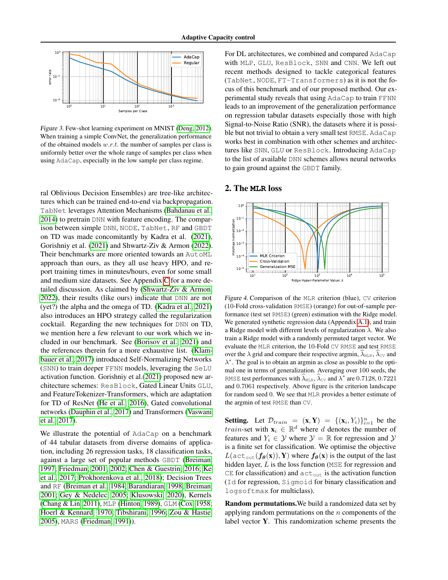

<span id="page-2-2"></span>Figure 3. Few-shot learning experiment on MNIST [\(Deng, 2012\)](#page-8-11). When training a simple ConvNet, the generalization performance of the obtained models  $w.r.t.$  the number of samples per class is uniformly better over the whole range of samples per class when using AdaCap, especially in the low sample per class regime.

ral Oblivious Decision Ensembles) are tree-like architectures which can be trained end-to-end via backpropagation. TabNet leverages Attention Mechanisms [\(Bahdanau et al.,](#page-8-12) [2014\)](#page-8-12) to pretrain DNN with feature encoding. The comparison between simple DNN, NODE, TabNet, RF and GBDT on TD was made concomitantly by Kadra et al. [\(2021\)](#page-9-9), Gorishniy et al. [\(2021\)](#page-9-7) and Shwartz-Ziv & Armon [\(2022\)](#page-10-4). Their benchmarks are more oriented towards an AutoML approach than ours, as they all use heavy HPO, and report training times in minutes/hours, even for some small and medium size datasets. See Appendix [C](#page-18-0) for a more detailed discussion. As claimed by [\(Shwartz-Ziv & Armon,](#page-10-4) [2022\)](#page-10-4), their results (like ours) indicate that DNN are not (yet?) the alpha and the omega of TD. [\(Kadra et al., 2021\)](#page-9-9) also introduces an HPO strategy called the regularization cocktail. Regarding the new techniques for DNN on TD, we mention here a few relevant to our work which we included in our benchmark. See [\(Borisov et al., 2021\)](#page-8-3) and the references therein for a more exhaustive list. [\(Klam](#page-10-9)[bauer et al., 2017\)](#page-10-9) introduced Self-Normalizing Networks (SNN) to train deeper FFNN models, leveraging the SeLU activation function. Gorishniy et al.[\(2021\)](#page-9-7) proposed new architecture schemes: ResBlock, Gated Linear Units GLU, and FeatureTokenizer-Transformers, which are adaptation for TD of ResNet [\(He et al., 2016\)](#page-9-10), Gated convolutional networks [\(Dauphin et al., 2017\)](#page-8-13) and Transformers [\(Vaswani](#page-11-5) [et al., 2017\)](#page-11-5).

We illustrate the potential of AdaCap on a benchmark of 44 tabular datasets from diverse domains of application, including 26 regression tasks, 18 classification tasks, against a large set of popular methods GBDT [\(Breiman,](#page-8-14) [1997;](#page-8-14) [Friedman, 2001;](#page-9-11) [2002;](#page-9-12) [Chen & Guestrin, 2016;](#page-8-7) [Ke](#page-9-13) [et al., 2017;](#page-9-13) [Prokhorenkova et al., 2018\)](#page-10-7); Decision Trees and RF [\(Breiman et al., 1984;](#page-8-15) [Barandiaran, 1998;](#page-8-8) [Breiman,](#page-8-9) [2001;](#page-8-9) [Gey & Nedelec, 2005;](#page-9-14) [Klusowski, 2020\)](#page-10-10), Kernels [\(Chang & Lin, 2011\)](#page-8-16), MLP [\(Hinton, 1989\)](#page-9-15), GLM [\(Cox, 1958;](#page-8-17) [Hoerl & Kennard, 1970;](#page-9-16) [Tibshirani, 1996;](#page-11-6) [Zou & Hastie,](#page-11-7) [2005\)](#page-11-7), MARS [\(Friedman, 1991\)](#page-8-18)).

For DL architectures, we combined and compared AdaCap with MLP, GLU, ResBlock, SNN and CNN. We left out recent methods designed to tackle categorical features (TabNet, NODE, FT-Transformers) as it is not the focus of this benchmark and of our proposed method. Our experimental study reveals that using AdaCap to train FFNN leads to an improvement of the generalization performance on regression tabular datasets especially those with high Signal-to-Noise Ratio (SNR), the datasets where it is possible but not trivial to obtain a very small test RMSE. AdaCap works best in combination with other schemes and architectures like SNN, GLU or ResBlock. Introducing AdaCap to the list of available DNN schemes allows neural networks to gain ground against the GBDT family.

#### <span id="page-2-0"></span>2. The **MLR** loss



<span id="page-2-1"></span>Figure 4. Comparison of the MLR criterion (blue), CV criterion (10-Fold cross-validation RMSE) (orange) for out-of-sample performance (test set RMSE) (green) estimation with the Ridge model. We generated synthetic regression data (Appendix [A.1\)](#page-12-0), and train a Ridge model with different levels of regularization  $\lambda$ . We also train a Ridge model with a randomly permuted target vector. We evaluate the MLR criterion, the 10-Fold CV RMSE and test RMSE over the  $\lambda$  grid and compare their respective argmin,  $\widehat{\lambda}_{\text{MLE}}, \widehat{\lambda}_{\text{CV}}$  and λ ∗ . The goal is to obtain an argmin as close as possible to the optimal one in terms of generalization. Averaging over 100 seeds, the RMSE test performances with  $\hat{\lambda}_{\text{MLR}}$ ,  $\hat{\lambda}_{\text{cv}}$  and  $\lambda^*$  are 0.7128, 0.7221 and 0.7061 respectively. Above figure is the criterion landscape for random seed 0. We see that MLR provides a better estimate of the argmin of test RMSE than CV.

**Setting.** Let  $\mathcal{D}_{train} = (\mathbf{x}, \mathbf{Y}) = \{(\mathbf{x}_i, Y_i)\}_{i=1}^n$  be the *train-set* with  $\mathbf{x}_i \in \mathbb{R}^d$  where d denotes the number of features and  $Y_i \in \mathcal{Y}$  where  $\mathcal{Y} = \mathbb{R}$  for regression and  $\mathcal{Y}$ is a finite set for classification. We optimise the objective  $L(\text{act}_{\text{out}}(f_{\theta}(\mathbf{x})), \mathbf{Y})$  where  $f_{\theta}(\mathbf{x})$  is the output of the last hidden layer, L is the loss function (MSE for regression and CE for classification) and  $\text{act}_{\text{out}}$  is the activation function (Id for regression, Sigmoid for binary classification and logsoftmax for multiclass).

Random permutations.We build a randomized data set by applying random permutations on the  $n$  components of the label vector Y. This randomization scheme presents the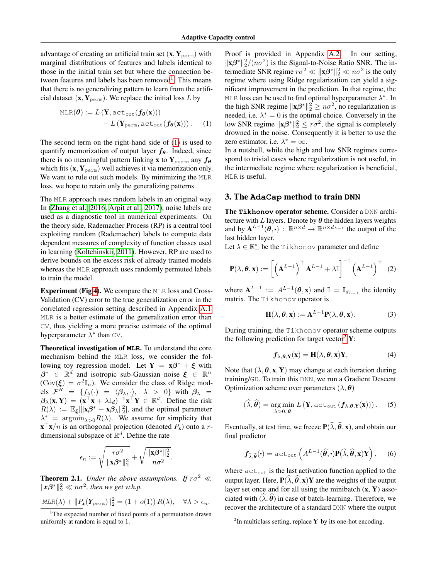advantage of creating an artificial train set  $(\mathbf{x}, \mathbf{Y}_{perm})$  with marginal distributions of features and labels identical to those in the initial train set but where the connection be-tween features and labels has been removed<sup>[1](#page-3-1)</sup>. This means that there is no generalizing pattern to learn from the artificial dataset  $(\mathbf{x}, \mathbf{Y}_{perm})$ . We replace the initial loss L by

$$
\text{MLR}(\boldsymbol{\theta}) := L(\mathbf{Y}, \text{act}_{\text{out}}(\boldsymbol{f}_{\boldsymbol{\theta}}(\mathbf{x}))) - L(\mathbf{Y}_{\text{perm}}, \text{act}_{\text{out}}(\boldsymbol{f}_{\boldsymbol{\theta}}(\mathbf{x}))). \quad (1)
$$

The second term on the right-hand side of [\(1\)](#page-3-2) is used to quantify memorization of output layer  $f_{\theta}$ . Indeed, since there is no meaningful pattern linking x to  $Y_{\text{perm}}$ , any  $f_{\theta}$ which fits  $(\mathbf{x}, \mathbf{Y}_{\text{perm}})$  well achieves it via memorization only. We want to rule out such models. By minimizing the MLR loss, we hope to retain only the generalizing patterns.

The MLR approach uses random labels in an original way. In [\(Zhang et al., 2016;](#page-11-1) [Arpit et al., 2017\)](#page-8-1), noise labels are used as a diagnostic tool in numerical experiments. On the theory side, Rademacher Process (RP) is a central tool exploiting random (Rademacher) labels to compute data dependent measures of complexity of function classes used in learning [\(Koltchinskii, 2011\)](#page-10-11). However, RP are used to derive bounds on the excess risk of already trained models whereas the MLR approach uses randomly permuted labels to train the model.

Experiment (Fig[.4\)](#page-2-1). We compare the MLR loss and Cross-Validation (CV) error to the true generalization error in the correlated regression setting described in Appendix [A.1.](#page-12-0) MLR is a better estimate of the generalization error than CV, thus yielding a more precise estimate of the optimal hyperparameter  $\lambda^*$  than CV.

Theoretical investigation of **MLR**. To understand the core mechanism behind the MLR loss, we consider the following toy regression model. Let  $Y = x\beta^* + \xi$  with  $\beta^* \in \mathbb{R}^d$  and isotropic sub-Gaussian noise  $\xi \in \mathbb{R}^n$  $(\text{Cov}(\xi) = \sigma^2 \mathbb{I}_n)$ . We consider the class of Ridge models  $\mathcal{F}^R = \{f_\lambda(\cdot) = \langle \beta_\lambda, \cdot \rangle, \lambda > 0\}$  with  $\beta_\lambda =$  $\beta_{\lambda}(\mathbf{x}, \mathbf{Y}) = (\mathbf{x}^{\top}\mathbf{x} + \lambda \mathbb{I}_d)^{-1}\mathbf{x}^{\top}\mathbf{Y} \in \mathbb{R}^d$ . Define the risk  $R(\lambda) := \mathbb{E}_{\xi} [\|\mathbf{x}\boldsymbol{\beta}^* - \mathbf{x}\boldsymbol{\beta}_{\lambda}\|_2^2],$  and the optimal parameter  $\lambda_{-}^{*} = \operatorname{argmin}_{\lambda>0} R(\lambda)$ . We assume for simplicity that  $\mathbf{x}^{\top} \mathbf{x}/n$  is an orthogonal projection (denoted  $P_{\mathbf{x}}$ ) onto a rdimensional subspace of  $\mathbb{R}^d$ . Define the rate

$$
\epsilon_n := \sqrt{\frac{r \sigma^2}{\|\mathbf{x}\boldsymbol{\beta}^*\|_2^2}} + \sqrt{\frac{\|\mathbf{x}\boldsymbol{\beta}^*\|_2^2}{n\sigma^2}}.
$$

<span id="page-3-5"></span>**Theorem 2.1.** *Under the above assumptions. If*  $r\sigma^2 \ll$  $\|\mathbf{x}\beta^*\|_2^2 \ll n\sigma^2$ , then we get w.h.p.

$$
\underline{MLR(\lambda) + ||P_{\mathbf{x}}(\mathbf{Y}_{perm})||_2^2} = (1 + o(1)) R(\lambda), \quad \forall \lambda > \epsilon_n.
$$

<span id="page-3-1"></span><sup>1</sup>The expected number of fixed points of a permutation drawn uniformly at random is equal to 1.

Proof is provided in Appendix [A.2.](#page-12-1) In our setting,  $\|\mathbf{x}\beta^*\|_2^2/(n\sigma^2)$  is the Signal-to-Noise Ratio SNR. The intermediate SNR regime  $r\sigma^2 \ll ||\mathbf{x}\beta^*||_2^2 \ll n\sigma^2$  is the only regime where using Ridge regularization can yield a significant improvement in the prediction. In that regime, the MLR loss can be used to find optimal hyperparameter  $\lambda^*$ . In the high SNR regime  $||\mathbf{x}\beta^*||_2^2 \geq n\sigma^2$ , no regularization is needed, i.e.  $\lambda^* = 0$  is the optimal choice. Conversely in the low SNR regime  $||\mathbf{x}\beta^*||_2^2 \leq r\sigma^2$ , the signal is completely drowned in the noise. Consequently it is better to use the zero estimator, i.e.  $\lambda^* = \infty$ .

<span id="page-3-2"></span>In a nutshell, while the high and low SNR regimes correspond to trivial cases where regularization is not useful, in the intermediate regime where regularization is beneficial, MLR is useful.

## <span id="page-3-0"></span>3. The **AdaCap** method to train **DNN**

The **Tikhonov** operator scheme. Consider a DNN architecture with L layers. Denote by  $\theta$  the hidden layers weights and by  $\mathbf{A}^{L-1}(\theta, \cdot) : \mathbb{R}^{n \times d} \to \mathbb{R}^{n \times d_{L-1}}$  the output of the last hidden layer.

Let  $\lambda \in \mathbb{R}_+^*$  be the Tikhonov parameter and define

$$
\mathbf{P}(\lambda, \boldsymbol{\theta}, \mathbf{x}) := \left[ \left( \mathbf{A}^{L-1} \right)^{\top} \mathbf{A}^{L-1} + \lambda \mathbb{I} \right]^{-1} \left( \mathbf{A}^{L-1} \right)^{\top} (2)
$$

where  $A^{L-1} := A^{L-1}(\theta, \mathbf{x})$  and  $\mathbb{I} = \mathbb{I}_{d_{L-1}}$  the identity matrix. The Tikhonov operator is

$$
\mathbf{H}(\lambda, \boldsymbol{\theta}, \mathbf{x}) := \mathbf{A}^{L-1} \mathbf{P}(\lambda, \boldsymbol{\theta}, \mathbf{x}).
$$
 (3)

During training, the Tikhonov operator scheme outputs the following prediction for target vector<sup>[2](#page-3-3)</sup> Y:

<span id="page-3-6"></span><span id="page-3-4"></span>
$$
f_{\lambda,\theta,\mathbf{Y}}(\mathbf{x}) = \mathbf{H}(\lambda,\theta,\mathbf{x})\mathbf{Y},\tag{4}
$$

Note that  $(\lambda, \theta, x, Y)$  may change at each iteration during training/GD. To train this DNN, we run a Gradient Descent Optimization scheme over parameters  $(\lambda, \theta)$ 

$$
(\widehat{\lambda}, \widehat{\boldsymbol{\theta}}) = \underset{\lambda > 0, \, \boldsymbol{\theta}}{\arg \min} \, L\left(\mathbf{Y}, \text{act}_{\text{out}}\left(\boldsymbol{f}_{\lambda, \boldsymbol{\theta}, \mathbf{Y}}(\mathbf{x})\right)\right). \tag{5}
$$

Eventually, at test time, we freeze  ${\bf P}(\widehat{\lambda}, \widehat{\theta}, {\bf x})$ , and obtain our final predictor

$$
f_{\widehat{\lambda},\widehat{\boldsymbol{\theta}}}(\boldsymbol{\cdot}) = \text{act}_{\text{out}}\left(A^{L-1}(\widehat{\boldsymbol{\theta}},\boldsymbol{\cdot})\mathbf{P}(\widehat{\lambda},\widehat{\boldsymbol{\theta}},\mathbf{x})\mathbf{Y}\right),\quad(6)
$$

where  $\text{act}_{\text{out}}$  is the last activation function applied to the output layer. Here,  ${\bf P}(\lambda, \theta, {\bf x}){\bf Y}$  are the weights of the output layer set once and for all using the minibatch  $(x, Y)$  associated with  $(\lambda, \hat{\theta})$  in case of batch-learning. Therefore, we recover the architecture of a standard DNN where the output

<span id="page-3-3"></span> $2$ In multiclass setting, replace Y by its one-hot encoding.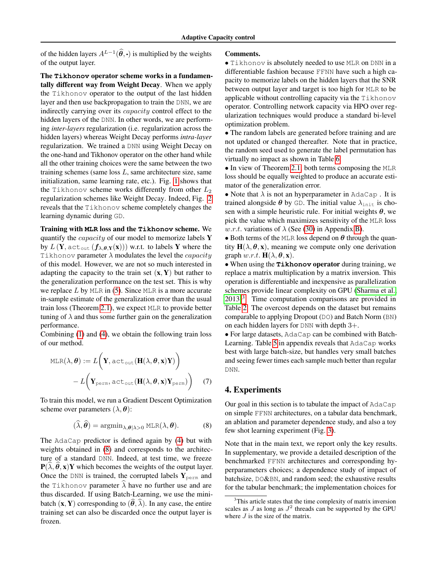of the hidden layers  $A^{L-1}(\hat{\theta}, \cdot)$  is multiplied by the weights of the output layer.

The **Tikhonov** operator scheme works in a fundamentally different way from Weight Decay. When we apply the Tikhonov operator to the output of the last hidden layer and then use backpropagation to train the DNN, we are indirectly carrying over its capacity control effect to the hidden layers of the DNN. In other words, we are performing *inter-layers* regularization (i.e. regularization across the hidden layers) whereas Weight Decay performs *intra-layer* regularization. We trained a DNN using Weight Decay on the one-hand and Tikhonov operator on the other hand while all the other training choices were the same between the two training schemes (same loss  $L$ , same architecture size, same initialization, same learning rate, etc.). Fig. [1](#page-1-0) shows that the Tikhonov scheme works differently from other  $L_2$ regularization schemes like Weight Decay. Indeed, Fig. [2](#page-1-1) reveals that the Tikhonov scheme completely changes the learning dynamic during GD.

Training with **MLR** loss and the **Tikhonov** scheme. We quantify the capacity of our model to memorize labels Y by  $L(Y, \text{act}_{\text{out}}(f_{\lambda,\theta,Y}(x)))$  w.r.t. to labels Y where the Tikhonov parameter  $\lambda$  modulates the level the *capacity* of this model. However, we are not so much interested in adapting the capacity to the train set  $(x, Y)$  but rather to the generalization performance on the test set. This is why we replace  $L$  by MLR in [\(5\)](#page-3-4). Since MLR is a more accurate in-sample estimate of the generalization error than the usual train loss (Theorem [2.1\)](#page-3-5), we expect MLR to provide better tuning of  $\lambda$  and thus some further gain on the generalization performance.

Combining [\(1\)](#page-3-2) and [\(4\)](#page-3-6), we obtain the following train loss of our method.

$$
MLR(\lambda, \theta) := L\left(\mathbf{Y}, \text{act}_{\text{out}}(\mathbf{H}(\lambda, \theta, \mathbf{x})\mathbf{Y})\right)
$$

$$
- L\left(\mathbf{Y}_{\text{perm}}, \text{act}_{\text{out}}(\mathbf{H}(\lambda, \theta, \mathbf{x})\mathbf{Y}_{\text{perm}})\right) (7)
$$

To train this model, we run a Gradient Descent Optimization scheme over parameters  $(\lambda, \theta)$ :

$$
(\widehat{\lambda}, \widehat{\boldsymbol{\theta}}) = \operatorname{argmin}_{\lambda, \boldsymbol{\theta} | \lambda > 0} \operatorname{MLR}(\lambda, \boldsymbol{\theta}).
$$
 (8)

The AdaCap predictor is defined again by [\(4\)](#page-3-6) but with weights obtained in [\(8\)](#page-4-0) and corresponds to the architecture of a standard DNN. Indeed, at test time, we freeze  ${\bf P}(\lambda, \theta, {\bf x}){\bf Y}$  which becomes the weights of the output layer. Once the DNN is trained, the corrupted labels  $Y_{\text{perm}}$  and the Tikhonov parameter  $\hat{\lambda}$  have no further use and are thus discarded. If using Batch-Learning, we use the minibatch  $(\mathbf{x}, \mathbf{Y})$  corresponding to  $(\hat{\theta}, \hat{\lambda})$ . In any case, the entire training set can also be discarded once the output layer is frozen.

#### Comments.

• Tikhonov is absolutely needed to use MLR on DNN in a differentiable fashion because FFNN have such a high capacity to memorize labels on the hidden layers that the SNR between output layer and target is too high for MLR to be applicable without controlling capacity via the Tikhonov operator. Controlling network capacity via HPO over regularization techniques would produce a standard bi-level optimization problem.

• The random labels are generated before training and are not updated or changed thereafter. Note that in practice, the random seed used to generate the label permutation has virtually no impact as shown in Table [6.](#page-17-0)

• In view of Theorem [2.1,](#page-3-5) both terms composing the MLR loss should be equally weighted to produce an accurate estimator of the generalization error.

• Note that  $\lambda$  is not an hyperparameter in AdaCap. It is trained alongside  $\theta$  by GD. The initial value  $\lambda_{\text{init}}$  is chosen with a simple heuristic rule. For initial weights  $\theta$ , we pick the value which maximizes sensitivity of the MLR loss w.r.t. variations of  $\lambda$  (See [\(30\)](#page-17-1) in Appendix [B\)](#page-17-2).

• Both terms of the MLR loss depend on  $\theta$  through the quantity  $H(\lambda, \theta, x)$ , meaning we compute only one derivation graph  $w.r.t.$   $H(\lambda, \theta, x)$ .

• When using the **Tikhonov** operator during training, we replace a matrix multiplication by a matrix inversion. This operation is differentiable and inexpensive as parallelization schemes provide linear complexity on GPU [\(Sharma et al.,](#page-10-12)  $2013$  $2013$ <sup>3</sup>. Time computation comparisons are provided in Table [2.](#page-6-0) The overcost depends on the dataset but remains comparable to applying Dropout (DO) and Batch Norm (BN) on each hidden layers for DNN with depth 3+.

• For large datasets, AdaCap can be combined with Batch-Learning. Table [5](#page-17-3) in appendix reveals that AdaCap works best with large batch-size, but handles very small batches and seeing fewer times each sample much better than regular DNN.

### <span id="page-4-2"></span>4. Experiments

<span id="page-4-0"></span>Our goal in this section is to tabulate the impact of AdaCap on simple FFNN architectures, on a tabular data benchmark, an ablation and parameter dependence study, and also a toy few shot learning experiment (Fig. [3\)](#page-2-2).

Note that in the main text, we report only the key results. In supplementary, we provide a detailed description of the benchmarked FFNN architectures and corresponding hyperparameters choices; a dependence study of impact of batchsize, DO&BN, and random seed; the exhaustive results for the tabular benchmark; the implementation choices for

<span id="page-4-1"></span><sup>&</sup>lt;sup>3</sup>This article states that the time complexity of matrix inversion scales as  $J$  as long as  $J^2$  threads can be supported by the GPU where  $J$  is the size of the matrix.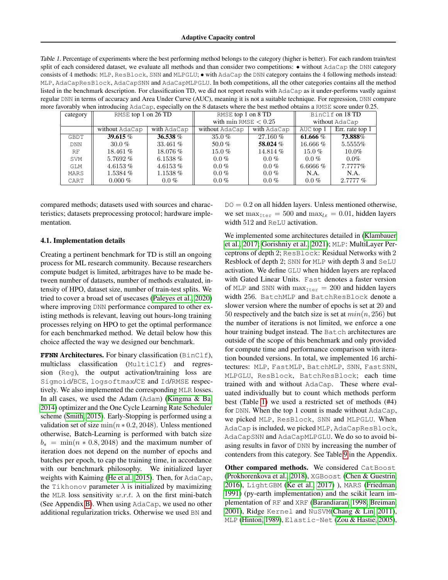<span id="page-5-0"></span>Table 1. Percentage of experiments where the best performing method belongs to the category (higher is better). For each random train/test split of each considered dataset, we evaluate all methods and than consider two competitions:  $\bullet$  without AdaCap the DNN category consists of 4 methods: MLP, ResBlock, SNN and MLPGLU; • with AdaCap the DNN category contains the 4 following methods instead: MLP, AdaCapResBlock, AdaCapSNN and AdaCapMLPGLU. In both competitions, all the other categories contains all the method listed in the benchmark description. For classification TD, we did not report results with AdaCap as it under-performs vastly against regular DNN in terms of accuracy and Area Under Curve (AUC), meaning it is not a suitable technique. For regression, DNN compare more favorably when introducing AdaCap, especially on the 8 datasets where the best method obtains a RMSE score under 0.25.

| $\alpha$ , when the equating $\alpha$ and $\alpha$ , coperantly on the $\alpha$ databased where the ocst meanog countries a range short and $\alpha$ . |                         |             |                           |             |                 |                   |  |  |  |  |
|--------------------------------------------------------------------------------------------------------------------------------------------------------|-------------------------|-------------|---------------------------|-------------|-----------------|-------------------|--|--|--|--|
| category                                                                                                                                               | RMSE top $1$ on $26$ TD |             | RMSE top $1$ on $8$ TD    |             | BinClf on 18 TD |                   |  |  |  |  |
|                                                                                                                                                        |                         |             | with $\min$ RMSE $< 0.25$ |             | without AdaCap  |                   |  |  |  |  |
|                                                                                                                                                        | without AdaCap          | with AdaCap | without AdaCap            | with AdaCap | AUC top 1       | Err. rate top $1$ |  |  |  |  |
| GBDT                                                                                                                                                   | 39.615%                 | 36.538%     | $35.0\%$                  | 27.160 %    | 61.666 $%$      | 73.888%           |  |  |  |  |
| <b>DNN</b>                                                                                                                                             | 30.0 $%$                | 33.461 $%$  | 50.0%                     | 58.024 %    | $16.666\%$      | 5.5555%           |  |  |  |  |
| <b>RF</b>                                                                                                                                              | 18.461%                 | $18.076\%$  | $15.0\%$                  | 14.814 %    | $15.0\%$        | $10.0\%$          |  |  |  |  |
| SVM                                                                                                                                                    | $5.7692\%$              | 6.1538 $%$  | $0.0\%$                   | $0.0\%$     | $0.0\%$         | $0.0\%$           |  |  |  |  |
| GLM                                                                                                                                                    | 4.6153%                 | 4.6153%     | $0.0\%$                   | $0.0\%$     | 6.6666 $%$      | 7.7777%           |  |  |  |  |
| MARS                                                                                                                                                   | $1.5384\%$              | $1.1538\%$  | $0.0\%$                   | $0.0\%$     | N.A.            | N.A.              |  |  |  |  |
| CART                                                                                                                                                   | $0.000\%$               | $0.0\%$     | $0.0\%$                   | $0.0\%$     | $0.0\%$         | $2.7777\%$        |  |  |  |  |

compared methods; datasets used with sources and characteristics; datasets preprocessing protocol; hardware implementation.

#### 4.1. Implementation details

Creating a pertinent benchmark for TD is still an ongoing process for ML research community. Because researchers compute budget is limited, arbitrages have to be made between number of datasets, number of methods evaluated, intensity of HPO, dataset size, number of train-test splits. We tried to cover a broad set of usecases [\(Paleyes et al., 2020\)](#page-10-13) where improving DNN performance compared to other existing methods is relevant, leaving out hours-long training processes relying on HPO to get the optimal performance for each benchmarked method. We detail below how this choice affected the way we designed our benchmark.

**FFNN** Architectures. For binary classification (BinClf), multiclass classification (MultiClf) and regression (Reg), the output activation/training loss are Sigmoid/BCE, logsoftmax/CE and Id/RMSE respectively. We also implemented the corresponding MLR losses. In all cases, we used the Adam (Adam) [\(Kingma & Ba,](#page-10-5) [2014\)](#page-10-5) optimizer and the One Cycle Learning Rate Scheduler scheme [\(Smith, 2015\)](#page-10-14). Early-Stopping is performed using a validation set of size  $\min(n * 0.2, 2048)$ . Unless mentioned otherwise, Batch-Learning is performed with batch size  $b_s = \min(n * 0.8, 2048)$  and the maximum number of iteration does not depend on the number of epochs and batches per epoch, to cap the training time, in accordance with our benchmark philosophy. We initialized layer weights with Kaiming [\(He et al., 2015\)](#page-9-17). Then, for AdaCap, the Tikhonov parameter  $\lambda$  is initialized by maximizing the MLR loss sensitivity  $w.r.t. \lambda$  on the first mini-batch (See Appendix [B\)](#page-17-2). When using AdaCap, we used no other additional regularization tricks. Otherwise we used BN and

 $DO = 0.2$  on all hidden layers. Unless mentioned otherwise, we set  $\max_{\text{Iter}} = 500$  and  $\max_{\text{lr}} = 0.01$ , hidden layers width 512 and ReLU activation.

We implemented some architectures detailed in [\(Klambauer](#page-10-9) [et al., 2017;](#page-10-9) [Gorishniy et al., 2021\)](#page-9-7); MLP: MultiLayer Perceptrons of depth 2; ResBlock: Residual Networks with 2 Resblock of depth 2; SNN for MLP with depth 3 and SeLU activation. We define GLU when hidden layers are replaced with Gated Linear Units. Fast denotes a faster version of MLP and SNN with  $max_{\text{Iter}} = 200$  and hidden layers width 256. BatchMLP and BatchResBlock denote a slower version where the number of epochs is set at 20 and 50 respectively and the batch size is set at  $min(n, 256)$  but the number of iterations is not limited, we enforce a one hour training budget instead. The Batch architectures are outside of the scope of this benchmark and only provided for compute time and performance comparison with iteration bounded versions. In total, we implemented 16 architectures: MLP, FastMLP, BatchMLP, SNN, FastSNN, MLPGLU, ResBlock, BatchResBlock; each time trained with and without AdaCap. These where evaluated individually but to count which methods perform best (Table [1\)](#page-5-0) we used a restricted set of methods (#4) for DNN. When the top 1 count is made without AdaCap, we picked MLP, ResBlock, SNN and MLPGLU. When AdaCap is included, we picked MLP, AdaCapResBlock, AdaCapSNN and AdaCapMLPGLU. We do so to avoid biasing results in favor of DNN by increasing the number of contenders from this category. See Table [9](#page-21-0) in the Appendix.

Other compared methods. We considered CatBoost [\(Prokhorenkova et al., 2018\)](#page-10-7), XGBoost [\(Chen & Guestrin,](#page-8-7) [2016\)](#page-8-7), LightGBM [\(Ke et al., 2017\)](#page-9-13) ), MARS [\(Friedman,](#page-8-18) [1991\)](#page-8-18) (py-earth implementation) and the scikit learn implementation of RF and XRF [\(Barandiaran, 1998;](#page-8-8) [Breiman,](#page-8-9) [2001\)](#page-8-9), Ridge Kernel and NuSVM[\(Chang & Lin, 2011\)](#page-8-16), MLP [\(Hinton, 1989\)](#page-9-15), Elastic-Net [\(Zou & Hastie, 2005\)](#page-11-7),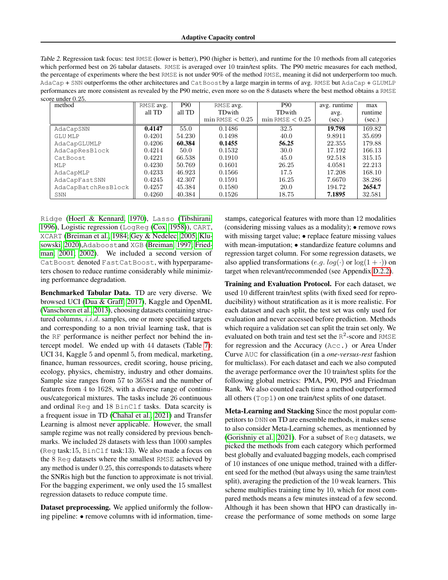<span id="page-6-0"></span>Table 2. Regression task focus: test RMSE (lower is better), P90 (higher is better), and runtime for the 10 methods from all categories which performed best on 26 tabular datasets. RMSE is averaged over 10 train/test splits. The P90 metric measures for each method, the percentage of experiments where the best RMSE is not under 90% of the method RMSE, meaning it did not underperform too much. AdaCap + SNN outperforms the other architectures and CatBoostby a large margin in terms of avg. RMSE but AdaCap + GLUMLP performances are more consistent as revealed by the P90 metric, even more so on the 8 datasets where the best method obtains a RMSE score under 0.25.

| method              | RMSE avg. | <b>P90</b> | RMSE avg.           | <b>P90</b>          | avg. runtime | max     |
|---------------------|-----------|------------|---------------------|---------------------|--------------|---------|
|                     | all TD    | all TD     | TDwith              | TDwith              | avg.         | runtime |
|                     |           |            | $min$ RMSE $< 0.25$ | $min$ RMSE $< 0.25$ | (sec.)       | (sec.)  |
| AdaCapSNN           | 0.4147    | 55.0       | 0.1486              | 32.5                | 19.798       | 169.82  |
| <b>GLU MLP</b>      | 0.4201    | 54.230     | 0.1498              | 40.0                | 9.8911       | 35.699  |
| AdaCapGLUMLP        | 0.4206    | 60.384     | 0.1455              | 56.25               | 22.355       | 179.88  |
| AdaCapResBlock      | 0.4214    | 50.0       | 0.1532              | 30.0                | 17.192       | 166.13  |
| CatBoost            | 0.4221    | 66.538     | 0.1910              | 45.0                | 92.518       | 315.15  |
| MLP                 | 0.4230    | 50.769     | 0.1601              | 26.25               | 4.0581       | 22.213  |
| AdaCapMLP           | 0.4233    | 46.923     | 0.1566              | 17.5                | 17.208       | 168.10  |
| AdaCapFastSNN       | 0.4245    | 42.307     | 0.1591              | 16.25               | 7.6670       | 38.286  |
| AdaCapBatchResBlock | 0.4257    | 45.384     | 0.1580              | 20.0                | 194.72       | 2654.7  |
| SNN                 | 0.4260    | 40.384     | 0.1526              | 18.75               | 7.1895       | 32.581  |

Ridge [\(Hoerl & Kennard, 1970\)](#page-9-16), Lasso [\(Tibshirani,](#page-11-6) [1996\)](#page-11-6), Logistic regression (LogReg [\(Cox, 1958\)](#page-8-17)), CART, XCART [\(Breiman et al., 1984;](#page-8-15) [Gey & Nedelec, 2005;](#page-9-14) [Klu](#page-10-10)[sowski, 2020\)](#page-10-10),Adaboostand XGB [\(Breiman, 1997;](#page-8-14) [Fried](#page-9-11)[man, 2001;](#page-9-11) [2002\)](#page-9-12). We included a second version of CatBoost denoted FastCatBoost, with hyperparameters chosen to reduce runtime considerably while minimizing performance degradation.

Benchmarked Tabular Data. TD are very diverse. We browsed UCI [\(Dua & Graff, 2017\)](#page-8-19), Kaggle and OpenML [\(Vanschoren et al., 2013\)](#page-11-8), choosing datasets containing structured columns, *i.i.d.* samples, one or more specified targets and corresponding to a non trivial learning task, that is the RF performance is neither perfect nor behind the intercept model. We ended up with 44 datasets (Table [7\)](#page-19-0): UCI 34, Kaggle 5 and openml 5, from medical, marketing, finance, human ressources, credit scoring, house pricing, ecology, physics, chemistry, industry and other domains. Sample size ranges from 57 to 36584 and the number of features from 4 to 1628, with a diverse range of continuous/categorical mixtures. The tasks include 26 continuous and ordinal Reg and 18 BinClf tasks. Data scarcity is a frequent issue in TD [\(Chahal et al., 2021\)](#page-8-20) and Transfer Learning is almost never applicable. However, the small sample regime was not really considered by previous benchmarks. We included 28 datasets with less than 1000 samples (Reg task:15, BinClf task:13). We also made a focus on the 8 Reg datasets where the smallest RMSE achieved by any method is under 0.25, this corresponds to datasets where the SNRis high but the function to approximate is not trivial. For the bagging experiment, we only used the 15 smallest regression datasets to reduce compute time.

Dataset preprocessing. We applied uniformly the following pipeline: • remove columns with id information, timestamps, categorical features with more than 12 modalities (considering missing values as a modality); • remove rows with missing target value; • replace feature missing values with mean-imputation; • standardize feature columns and regression target column. For some regression datasets, we also applied transformations (e.g.  $log(·)$  or  $log(1 + ·)$ ) on target when relevant/recommended (see Appendix [D.2.2\)](#page-18-1).

Training and Evaluation Protocol. For each dataset, we used 10 different train/test splits (with fixed seed for reproducibility) without stratification as it is more realistic. For each dataset and each split, the test set was only used for evaluation and never accessed before prediction. Methods which require a validation set can split the train set only. We evaluated on both train and test set the  $R^2$ -score and RMSE for regression and the Accuracy (Acc.) or Area Under Curve AUC for classification (in a *one-versus-rest* fashion for multiclass). For each dataset and each we also computed the average performance over the 10 train/test splits for the following global metrics: PMA, P90, P95 and Friedman Rank. We also counted each time a method outperformed all others (Top1) on one train/test splits of one dataset.

Meta-Learning and Stacking Since the most popular competitors to DNN on TD are ensemble methods, it makes sense to also consider Meta-Learning schemes, as mentionned by [\(Gorishniy et al., 2021\)](#page-9-7). For a subset of Reg datasets, we picked the methods from each category which performed best globally and evaluated bagging models, each comprised of 10 instances of one unique method, trained with a different seed for the method (but always using the same train/test split), averaging the prediction of the 10 weak learners. This scheme multiplies training time by 10, which for most compared methods means a few minutes instead of a few second. Although it has been shown that HPO can drastically increase the performance of some methods on some large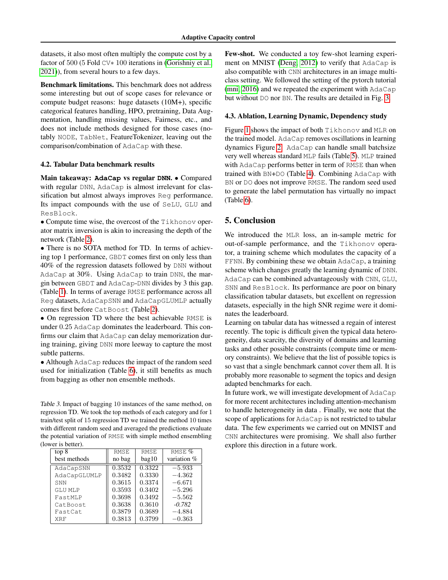datasets, it also most often multiply the compute cost by a factor of 500 (5 Fold CV∗ 100 iterations in [\(Gorishniy et al.,](#page-9-7) [2021\)](#page-9-7)), from several hours to a few days.

Benchmark limitations. This benchmark does not address some interesting but out of scope cases for relevance or compute budget reasons: huge datasets (10M+), specific categorical features handling, HPO, pretraining, Data Augmentation, handling missing values, Fairness, etc., and does not include methods designed for those cases (notably NODE, TabNet, FeatureTokenizer, leaving out the comparison/combination of AdaCap with these.

#### 4.2. Tabular Data benchmark results

Main takeaway: **AdaCap** vs regular **DNN**. • Compared with regular DNN, AdaCap is almost irrelevant for classification but almost always improves Reg performance. Its impact compounds with the use of SeLU, GLU and ResBlock.

• Compute time wise, the overcost of the Tikhonov operator matrix inversion is akin to increasing the depth of the network (Table [2\)](#page-6-0).

• There is no SOTA method for TD. In terms of achieving top 1 performance, GBDT comes first on only less than 40% of the regression datasets followed by DNN without AdaCap at 30%. Using AdaCap to train DNN, the margin between GBDT and AdaCap-DNN divides by 3 this gap. (Table [1\)](#page-5-0). In terms of average RMSE performance across all Reg datasets, AdaCapSNN and AdaCapGLUMLP actually comes first before CatBoost (Table [2\)](#page-6-0).

• On regression TD where the best achievable RMSE is under 0.25 AdaCap dominates the leaderboard. This confirms our claim that AdaCap can delay memorization during training, giving DNN more leeway to capture the most subtle patterns.

• Although AdaCap reduces the impact of the random seed used for initialization (Table [6\)](#page-17-0), it still benefits as much from bagging as other non ensemble methods.

Table 3. Impact of bagging 10 instances of the same method, on regression TD. We took the top methods of each category and for 1 train/test split of 15 regression TD we trained the method 10 times with different random seed and averaged the predictions evaluate the potential variation of RMSE with simple method ensembling (lower is better).

| top 8          | <b>RMSE</b> | <b>RMSE</b> | RMSE %      |
|----------------|-------------|-------------|-------------|
| best methods   | no bag      | bag10       | variation % |
| AdaCapSNN      | 0.3532      | 0.3322      | $-5.933$    |
| AdaCapGLUMLP   | 0.3482      | 0.3330      | $-4.362$    |
| SNN            | 0.3615      | 0.3374      | $-6.671$    |
| <b>GLU MLP</b> | 0.3593      | 0.3402      | $-5.296$    |
| FastMLP        | 0.3698      | 0.3492      | $-5.562$    |
| CatBoost       | 0.3638      | 0.3610      | $-0.782$    |
| FastCat        | 0.3879      | 0.3689      | $-4.884$    |
| <b>XRF</b>     | 0.3813      | 0.3799      | $-0.363$    |

Few-shot. We conducted a toy few-shot learning experiment on MNIST [\(Deng, 2012\)](#page-8-11) to verify that AdaCap is also compatible with CNN architectures in an image multiclass setting. We followed the setting of the pytorch tutorial [\(mni, 2016\)](#page-8-21) and we repeated the experiment with AdaCap but without DO nor BN. The results are detailed in Fig. [3.](#page-2-2)

#### 4.3. Ablation, Learning Dynamic, Dependency study

Figure [1](#page-1-0) shows the impact of both Tikhonov and MLR on the trained model. AdaCap removes oscillations in learning dynamics Figure [2.](#page-1-1) AdaCap can handle small batchsize very well whereas standard MLP fails (Table [5\)](#page-17-3). MLP trained with AdaCap performs better in term of RMSE than when trained with BN+DO (Table [4\)](#page-17-4). Combining AdaCap with BN or DO does not improve RMSE. The random seed used to generate the label permutation has virtually no impact (Table [6\)](#page-17-0).

#### 5. Conclusion

We introduced the MLR loss, an in-sample metric for out-of-sample performance, and the Tikhonov operator, a training scheme which modulates the capacity of a FFNN. By combining these we obtain AdaCap, a training scheme which changes greatly the learning dynamic of DNN. AdaCap can be combined advantageously with CNN, GLU, SNN and ResBlock. Its performance are poor on binary classification tabular datasets, but excellent on regression datasets, especially in the high SNR regime were it dominates the leaderboard.

Learning on tabular data has witnessed a regain of interest recently. The topic is difficult given the typical data heterogeneity, data scarcity, the diversity of domains and learning tasks and other possible constraints (compute time or memory constraints). We believe that the list of possible topics is so vast that a single benchmark cannot cover them all. It is probably more reasonable to segment the topics and design adapted benchmarks for each.

In future work, we will investigate development of AdaCap for more recent architectures including attention-mechanism to handle heterogeneity in data . Finally, we note that the scope of applications for AdaCap is not restricted to tabular data. The few experiments we carried out on MNIST and CNN architectures were promising. We shall also further explore this direction in a future work.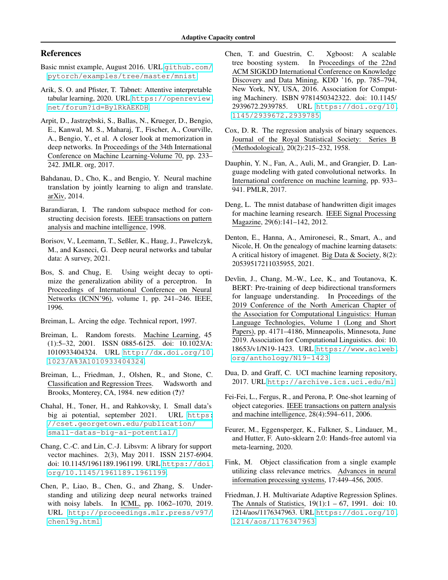## References

- <span id="page-8-21"></span>Basic mnist example, August 2016. URL [github.com/](github.com/pytorch/examples/tree/master/mnist) [pytorch/examples/tree/master/mnist](github.com/pytorch/examples/tree/master/mnist).
- <span id="page-8-10"></span>Arik, S. O. and Pfister, T. Tabnet: Attentive interpretable tabular learning, 2020. URL [https://openreview.](https://openreview.net/forum?id=BylRkAEKDH) [net/forum?id=BylRkAEKDH](https://openreview.net/forum?id=BylRkAEKDH).
- <span id="page-8-1"></span>Arpit, D., Jastrz˛ebski, S., Ballas, N., Krueger, D., Bengio, E., Kanwal, M. S., Maharaj, T., Fischer, A., Courville, A., Bengio, Y., et al. A closer look at memorization in deep networks. In Proceedings of the 34th International Conference on Machine Learning-Volume 70, pp. 233– 242. JMLR. org, 2017.
- <span id="page-8-12"></span>Bahdanau, D., Cho, K., and Bengio, Y. Neural machine translation by jointly learning to align and translate. arXiv, 2014.
- <span id="page-8-8"></span>Barandiaran, I. The random subspace method for constructing decision forests. IEEE transactions on pattern analysis and machine intelligence, 1998.
- <span id="page-8-3"></span>Borisov, V., Leemann, T., Seßler, K., Haug, J., Pawelczyk, M., and Kasneci, G. Deep neural networks and tabular data: A survey, 2021.
- <span id="page-8-0"></span>Bos, S. and Chug, E. Using weight decay to optimize the generalization ability of a perceptron. In Proceedings of International Conference on Neural Networks (ICNN'96), volume 1, pp. 241–246. IEEE, 1996.
- <span id="page-8-14"></span>Breiman, L. Arcing the edge. Technical report, 1997.
- <span id="page-8-9"></span>Breiman, L. Random forests. Machine Learning, 45 (1):5–32, 2001. ISSN 0885-6125. doi: 10.1023/A: 1010933404324. URL [http://dx.doi.org/10.](http://dx.doi.org/10.1023/A%3A1010933404324) [1023/A%3A1010933404324](http://dx.doi.org/10.1023/A%3A1010933404324).
- <span id="page-8-15"></span>Breiman, L., Friedman, J., Olshen, R., and Stone, C. Classification and Regression Trees. Wadsworth and Brooks, Monterey, CA, 1984. new edition  $(?)$ ?
- <span id="page-8-20"></span>Chahal, H., Toner, H., and Rahkovsky, I. Small data's big ai potential, september 2021. URL [https:](https://cset.georgetown.edu/publication/small-datas-big-ai-potential/) [//cset.georgetown.edu/publication/](https://cset.georgetown.edu/publication/small-datas-big-ai-potential/) [small-datas-big-ai-potential/](https://cset.georgetown.edu/publication/small-datas-big-ai-potential/).
- <span id="page-8-16"></span>Chang, C.-C. and Lin, C.-J. Libsvm: A library for support vector machines. 2(3), May 2011. ISSN 2157-6904. doi: 10.1145/1961189.1961199. URL [https://doi.](https://doi.org/10.1145/1961189.1961199) [org/10.1145/1961189.1961199](https://doi.org/10.1145/1961189.1961199).
- <span id="page-8-2"></span>Chen, P., Liao, B., Chen, G., and Zhang, S. Understanding and utilizing deep neural networks trained with noisy labels. In ICML, pp. 1062–1070, 2019. URL [http://proceedings.mlr.press/v97/](http://proceedings.mlr.press/v97/chen19g.html) [chen19g.html](http://proceedings.mlr.press/v97/chen19g.html).
- <span id="page-8-7"></span>Chen, T. and Guestrin, C. Xgboost: A scalable tree boosting system. In Proceedings of the 22nd ACM SIGKDD International Conference on Knowledge Discovery and Data Mining, KDD '16, pp. 785–794, New York, NY, USA, 2016. Association for Computing Machinery. ISBN 9781450342322. doi: 10.1145/ 2939672.2939785. URL [https://doi.org/10.](https://doi.org/10.1145/2939672.2939785) [1145/2939672.2939785](https://doi.org/10.1145/2939672.2939785).
- <span id="page-8-17"></span>Cox, D. R. The regression analysis of binary sequences. Journal of the Royal Statistical Society: Series B (Methodological), 20(2):215–232, 1958.
- <span id="page-8-13"></span>Dauphin, Y. N., Fan, A., Auli, M., and Grangier, D. Language modeling with gated convolutional networks. In International conference on machine learning, pp. 933– 941. PMLR, 2017.
- <span id="page-8-11"></span>Deng, L. The mnist database of handwritten digit images for machine learning research. IEEE Signal Processing Magazine, 29(6):141–142, 2012.
- <span id="page-8-23"></span>Denton, E., Hanna, A., Amironesei, R., Smart, A., and Nicole, H. On the genealogy of machine learning datasets: A critical history of imagenet. Big Data & Society, 8(2): 20539517211035955, 2021.
- <span id="page-8-6"></span>Devlin, J., Chang, M.-W., Lee, K., and Toutanova, K. BERT: Pre-training of deep bidirectional transformers for language understanding. In Proceedings of the 2019 Conference of the North American Chapter of the Association for Computational Linguistics: Human Language Technologies, Volume 1 (Long and Short Papers), pp. 4171–4186, Minneapolis, Minnesota, June 2019. Association for Computational Linguistics. doi: 10. 18653/v1/N19-1423. URL [https://www.aclweb.](https://www.aclweb.org/anthology/N19-1423) [org/anthology/N19-1423](https://www.aclweb.org/anthology/N19-1423).
- <span id="page-8-19"></span>Dua, D. and Graff, C. UCI machine learning repository, 2017. URL <http://archive.ics.uci.edu/ml>.
- <span id="page-8-5"></span>Fei-Fei, L., Fergus, R., and Perona, P. One-shot learning of object categories. IEEE transactions on pattern analysis and machine intelligence, 28(4):594–611, 2006.
- <span id="page-8-22"></span>Feurer, M., Eggensperger, K., Falkner, S., Lindauer, M., and Hutter, F. Auto-sklearn 2.0: Hands-free automl via meta-learning, 2020.
- <span id="page-8-4"></span>Fink, M. Object classification from a single example utilizing class relevance metrics. Advances in neural information processing systems, 17:449–456, 2005.
- <span id="page-8-18"></span>Friedman, J. H. Multivariate Adaptive Regression Splines. The Annals of Statistics,  $19(1):1 - 67$ , 1991. doi: 10. 1214/aos/1176347963. URL [https://doi.org/10.](https://doi.org/10.1214/aos/1176347963) [1214/aos/1176347963](https://doi.org/10.1214/aos/1176347963).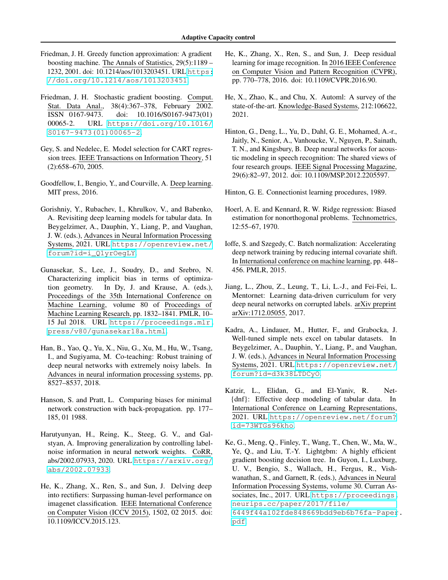- <span id="page-9-11"></span>Friedman, J. H. Greedy function approximation: A gradient boosting machine. The Annals of Statistics, 29(5):1189 – 1232, 2001. doi: 10.1214/aos/1013203451. URL [https:](https://doi.org/10.1214/aos/1013203451) [//doi.org/10.1214/aos/1013203451](https://doi.org/10.1214/aos/1013203451).
- <span id="page-9-12"></span>Friedman, J. H. Stochastic gradient boosting. Comput. Stat. Data Anal., 38(4):367–378, February 2002. ISSN 0167-9473. doi: 10.1016/S0167-9473(01) 00065-2. URL [https://doi.org/10.1016/](https://doi.org/10.1016/S0167-9473(01)00065-2) [S0167-9473\(01\)00065-2](https://doi.org/10.1016/S0167-9473(01)00065-2).
- <span id="page-9-14"></span>Gey, S. and Nedelec, E. Model selection for CART regression trees. IEEE Transactions on Information Theory, 51 (2):658–670, 2005.
- <span id="page-9-0"></span>Goodfellow, I., Bengio, Y., and Courville, A. Deep learning. MIT press, 2016.
- <span id="page-9-7"></span>Gorishniy, Y., Rubachev, I., Khrulkov, V., and Babenko, A. Revisiting deep learning models for tabular data. In Beygelzimer, A., Dauphin, Y., Liang, P., and Vaughan, J. W. (eds.), Advances in Neural Information Processing Systems, 2021. URL [https://openreview.net/](https://openreview.net/forum?id=i_Q1yrOegLY) [forum?id=i\\_Q1yrOegLY](https://openreview.net/forum?id=i_Q1yrOegLY).
- <span id="page-9-3"></span>Gunasekar, S., Lee, J., Soudry, D., and Srebro, N. Characterizing implicit bias in terms of optimization geometry. In Dy, J. and Krause, A. (eds.), Proceedings of the 35th International Conference on Machine Learning, volume 80 of Proceedings of Machine Learning Research, pp. 1832–1841. PMLR, 10– 15 Jul 2018. URL [https://proceedings.mlr.](https://proceedings.mlr.press/v80/gunasekar18a.html) [press/v80/gunasekar18a.html](https://proceedings.mlr.press/v80/gunasekar18a.html).
- <span id="page-9-5"></span>Han, B., Yao, Q., Yu, X., Niu, G., Xu, M., Hu, W., Tsang, I., and Sugiyama, M. Co-teaching: Robust training of deep neural networks with extremely noisy labels. In Advances in neural information processing systems, pp. 8527–8537, 2018.
- <span id="page-9-2"></span>Hanson, S. and Pratt, L. Comparing biases for minimal network construction with back-propagation. pp. 177– 185, 01 1988.
- <span id="page-9-6"></span>Harutyunyan, H., Reing, K., Steeg, G. V., and Galstyan, A. Improving generalization by controlling labelnoise information in neural network weights. CoRR, abs/2002.07933, 2020. URL [https://arxiv.org/](https://arxiv.org/abs/2002.07933) [abs/2002.07933](https://arxiv.org/abs/2002.07933).
- <span id="page-9-17"></span>He, K., Zhang, X., Ren, S., and Sun, J. Delving deep into rectifiers: Surpassing human-level performance on imagenet classification. IEEE International Conference on Computer Vision (ICCV 2015), 1502, 02 2015. doi: 10.1109/ICCV.2015.123.
- <span id="page-9-10"></span>He, K., Zhang, X., Ren, S., and Sun, J. Deep residual learning for image recognition. In 2016 IEEE Conference on Computer Vision and Pattern Recognition (CVPR), pp. 770–778, 2016. doi: 10.1109/CVPR.2016.90.
- <span id="page-9-19"></span>He, X., Zhao, K., and Chu, X. Automl: A survey of the state-of-the-art. Knowledge-Based Systems, 212:106622, 2021.
- <span id="page-9-1"></span>Hinton, G., Deng, L., Yu, D., Dahl, G. E., Mohamed, A.-r., Jaitly, N., Senior, A., Vanhoucke, V., Nguyen, P., Sainath, T. N., and Kingsbury, B. Deep neural networks for acoustic modeling in speech recognition: The shared views of four research groups. IEEE Signal Processing Magazine, 29(6):82–97, 2012. doi: 10.1109/MSP.2012.2205597.
- <span id="page-9-15"></span>Hinton, G. E. Connectionist learning procedures, 1989.
- <span id="page-9-16"></span>Hoerl, A. E. and Kennard, R. W. Ridge regression: Biased estimation for nonorthogonal problems. Technometrics, 12:55–67, 1970.
- <span id="page-9-8"></span>Ioffe, S. and Szegedy, C. Batch normalization: Accelerating deep network training by reducing internal covariate shift. In International conference on machine learning, pp. 448– 456. PMLR, 2015.
- <span id="page-9-4"></span>Jiang, L., Zhou, Z., Leung, T., Li, L.-J., and Fei-Fei, L. Mentornet: Learning data-driven curriculum for very deep neural networks on corrupted labels. arXiv preprint arXiv:1712.05055, 2017.
- <span id="page-9-9"></span>Kadra, A., Lindauer, M., Hutter, F., and Grabocka, J. Well-tuned simple nets excel on tabular datasets. In Beygelzimer, A., Dauphin, Y., Liang, P., and Vaughan, J. W. (eds.), Advances in Neural Information Processing Systems, 2021. URL [https://openreview.net/](https://openreview.net/forum?id=d3k38LTDCyO) [forum?id=d3k38LTDCyO](https://openreview.net/forum?id=d3k38LTDCyO).
- <span id="page-9-18"></span>Katzir, L., Elidan, G., and El-Yaniv, R. Net- {dnf}: Effective deep modeling of tabular data. In International Conference on Learning Representations, 2021. URL [https://openreview.net/forum?](https://openreview.net/forum?id=73WTGs96kho) [id=73WTGs96kho](https://openreview.net/forum?id=73WTGs96kho).
- <span id="page-9-13"></span>Ke, G., Meng, Q., Finley, T., Wang, T., Chen, W., Ma, W., Ye, Q., and Liu, T.-Y. Lightgbm: A highly efficient gradient boosting decision tree. In Guyon, I., Luxburg, U. V., Bengio, S., Wallach, H., Fergus, R., Vishwanathan, S., and Garnett, R. (eds.), Advances in Neural Information Processing Systems, volume 30. Curran Associates, Inc., 2017. URL [https://proceedings.](https://proceedings.neurips.cc/paper/2017/file/6449f44a102fde848669bdd9eb6b76fa-Paper.pdf) [neurips.cc/paper/2017/file/](https://proceedings.neurips.cc/paper/2017/file/6449f44a102fde848669bdd9eb6b76fa-Paper.pdf) [6449f44a102fde848669bdd9eb6b76fa-Paper](https://proceedings.neurips.cc/paper/2017/file/6449f44a102fde848669bdd9eb6b76fa-Paper.pdf).

[pdf](https://proceedings.neurips.cc/paper/2017/file/6449f44a102fde848669bdd9eb6b76fa-Paper.pdf).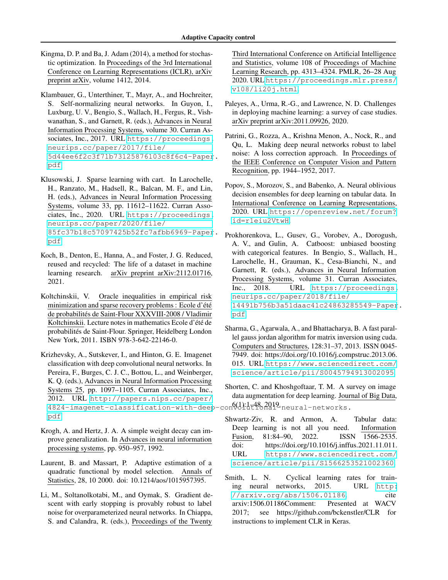<span id="page-10-5"></span>Kingma, D. P. and Ba, J. Adam (2014), a method for stochastic optimization. In Proceedings of the 3rd International Conference on Learning Representations (ICLR), arXiv preprint arXiv, volume 1412, 2014.

<span id="page-10-9"></span>Klambauer, G., Unterthiner, T., Mayr, A., and Hochreiter, S. Self-normalizing neural networks. In Guyon, I., Luxburg, U. V., Bengio, S., Wallach, H., Fergus, R., Vishwanathan, S., and Garnett, R. (eds.), Advances in Neural Information Processing Systems, volume 30. Curran Associates, Inc., 2017. URL [https://proceedings.](https://proceedings.neurips.cc/paper/2017/file/5d44ee6f2c3f71b73125876103c8f6c4-Paper.pdf) [neurips.cc/paper/2017/file/](https://proceedings.neurips.cc/paper/2017/file/5d44ee6f2c3f71b73125876103c8f6c4-Paper.pdf) [5d44ee6f2c3f71b73125876103c8f6c4-Paper](https://proceedings.neurips.cc/paper/2017/file/5d44ee6f2c3f71b73125876103c8f6c4-Paper.pdf). [pdf](https://proceedings.neurips.cc/paper/2017/file/5d44ee6f2c3f71b73125876103c8f6c4-Paper.pdf).

<span id="page-10-10"></span>Klusowski, J. Sparse learning with cart. In Larochelle, H., Ranzato, M., Hadsell, R., Balcan, M. F., and Lin, H. (eds.), Advances in Neural Information Processing Systems, volume 33, pp. 11612–11622. Curran Associates, Inc., 2020. URL [https://proceedings.](https://proceedings.neurips.cc/paper/2020/file/85fc37b18c57097425b52fc7afbb6969-Paper.pdf) [neurips.cc/paper/2020/file/](https://proceedings.neurips.cc/paper/2020/file/85fc37b18c57097425b52fc7afbb6969-Paper.pdf) [85fc37b18c57097425b52fc7afbb6969-Paper](https://proceedings.neurips.cc/paper/2020/file/85fc37b18c57097425b52fc7afbb6969-Paper.pdf). [pdf](https://proceedings.neurips.cc/paper/2020/file/85fc37b18c57097425b52fc7afbb6969-Paper.pdf).

- <span id="page-10-16"></span>Koch, B., Denton, E., Hanna, A., and Foster, J. G. Reduced, reused and recycled: The life of a dataset in machine learning research. arXiv preprint arXiv:2112.01716, 2021.
- <span id="page-10-11"></span>Koltchinskii, V. Oracle inequalities in empirical risk minimization and sparse recovery problems : Ecole d'été de probabilités de Saint-Flour XXXVIII-2008 / Vladimir Koltchinskii. Lecture notes in mathematics Ecole d'été de probabilités de Saint-Flour. Springer, Heidelberg London New York, 2011. ISBN 978-3-642-22146-0.
- <span id="page-10-6"></span>Krizhevsky, A., Sutskever, I., and Hinton, G. E. Imagenet classification with deep convolutional neural networks. In Pereira, F., Burges, C. J. C., Bottou, L., and Weinberger, K. Q. (eds.), Advances in Neural Information Processing Systems 25, pp. 1097–1105. Curran Associates, Inc., 2012. URL [http://papers.nips.cc/paper/](http://papers.nips.cc/paper/4824-imagenet-classification-with-deep-convolutional-neural-networks.pdf) [4824-imagenet-classification-with-deep](http://papers.nips.cc/paper/4824-imagenet-classification-with-deep-convolutional-neural-networks.pdf)-convolutional-neural-networks. 6(1):1–48, 2019. [pdf](http://papers.nips.cc/paper/4824-imagenet-classification-with-deep-convolutional-neural-networks.pdf).
- <span id="page-10-2"></span>Krogh, A. and Hertz, J. A. A simple weight decay can improve generalization. In Advances in neural information processing systems, pp. 950–957, 1992.
- <span id="page-10-15"></span>Laurent, B. and Massart, P. Adaptive estimation of a quadratic functional by model selection. Annals of Statistics, 28, 10 2000. doi: 10.1214/aos/1015957395.
- <span id="page-10-0"></span>Li, M., Soltanolkotabi, M., and Oymak, S. Gradient descent with early stopping is provably robust to label noise for overparameterized neural networks. In Chiappa, S. and Calandra, R. (eds.), Proceedings of the Twenty

Third International Conference on Artificial Intelligence and Statistics, volume 108 of Proceedings of Machine Learning Research, pp. 4313–4324. PMLR, 26–28 Aug 2020. URL [https://proceedings.mlr.press/](https://proceedings.mlr.press/v108/li20j.html) [v108/li20j.html](https://proceedings.mlr.press/v108/li20j.html).

- <span id="page-10-13"></span>Paleyes, A., Urma, R.-G., and Lawrence, N. D. Challenges in deploying machine learning: a survey of case studies. arXiv preprint arXiv:2011.09926, 2020.
- <span id="page-10-3"></span>Patrini, G., Rozza, A., Krishna Menon, A., Nock, R., and Qu, L. Making deep neural networks robust to label noise: A loss correction approach. In Proceedings of the IEEE Conference on Computer Vision and Pattern Recognition, pp. 1944–1952, 2017.
- <span id="page-10-8"></span>Popov, S., Morozov, S., and Babenko, A. Neural oblivious decision ensembles for deep learning on tabular data. In International Conference on Learning Representations, 2020. URL [https://openreview.net/forum?](https://openreview.net/forum?id=r1eiu2VtwH) [id=r1eiu2VtwH](https://openreview.net/forum?id=r1eiu2VtwH).
- <span id="page-10-7"></span>Prokhorenkova, L., Gusev, G., Vorobev, A., Dorogush, A. V., and Gulin, A. Catboost: unbiased boosting with categorical features. In Bengio, S., Wallach, H., Larochelle, H., Grauman, K., Cesa-Bianchi, N., and Garnett, R. (eds.), Advances in Neural Information Processing Systems, volume 31. Curran Associates, Inc., 2018. URL [https://proceedings.](https://proceedings.neurips.cc/paper/2018/file/14491b756b3a51daac41c24863285549-Paper.pdf) [neurips.cc/paper/2018/file/](https://proceedings.neurips.cc/paper/2018/file/14491b756b3a51daac41c24863285549-Paper.pdf) [14491b756b3a51daac41c24863285549-Paper](https://proceedings.neurips.cc/paper/2018/file/14491b756b3a51daac41c24863285549-Paper.pdf). [pdf](https://proceedings.neurips.cc/paper/2018/file/14491b756b3a51daac41c24863285549-Paper.pdf).
- <span id="page-10-12"></span>Sharma, G., Agarwala, A., and Bhattacharya, B. A fast parallel gauss jordan algorithm for matrix inversion using cuda. Computers and Structures, 128:31–37, 2013. ISSN 0045- 7949. doi: https://doi.org/10.1016/j.compstruc.2013.06. 015. URL [https://www.sciencedirect.com/](https://www.sciencedirect.com/science/article/pii/S0045794913002095) [science/article/pii/S0045794913002095](https://www.sciencedirect.com/science/article/pii/S0045794913002095).
- <span id="page-10-1"></span>Shorten, C. and Khoshgoftaar, T. M. A survey on image data augmentation for deep learning. Journal of Big Data,
- <span id="page-10-4"></span>Shwartz-Ziv, R. and Armon, A. Tabular data: Deep learning is not all you need. Information Fusion, 81:84–90, 2022. ISSN 1566-2535. doi: https://doi.org/10.1016/j.inffus.2021.11.011. URL [https://www.sciencedirect.com/](https://www.sciencedirect.com/science/article/pii/S1566253521002360) [science/article/pii/S1566253521002360](https://www.sciencedirect.com/science/article/pii/S1566253521002360).
- <span id="page-10-14"></span>Smith, L. N. Cyclical learning rates for training neural networks, 2015. URL [http:](http://arxiv.org/abs/1506.01186) [//arxiv.org/abs/1506.01186](http://arxiv.org/abs/1506.01186). cite arxiv:1506.01186Comment: Presented at WACV 2017; see https://github.com/bckenstler/CLR for instructions to implement CLR in Keras.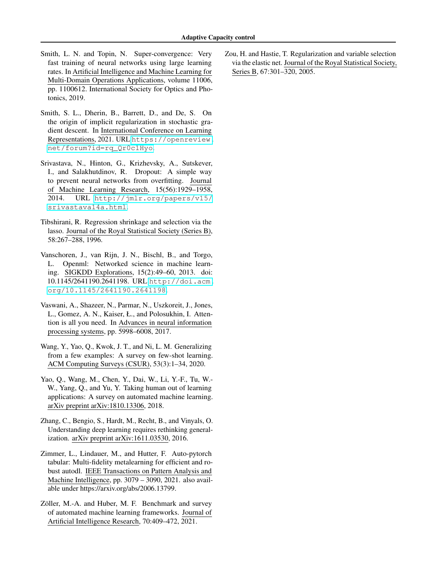- <span id="page-11-4"></span>Smith, L. N. and Topin, N. Super-convergence: Very fast training of neural networks using large learning rates. In Artificial Intelligence and Machine Learning for Multi-Domain Operations Applications, volume 11006, pp. 1100612. International Society for Optics and Photonics, 2019.
- <span id="page-11-2"></span>Smith, S. L., Dherin, B., Barrett, D., and De, S. On the origin of implicit regularization in stochastic gradient descent. In International Conference on Learning Representations, 2021. URL [https://openreview.](https://openreview.net/forum?id=rq_Qr0c1Hyo) [net/forum?id=rq\\_Qr0c1Hyo](https://openreview.net/forum?id=rq_Qr0c1Hyo).
- <span id="page-11-0"></span>Srivastava, N., Hinton, G., Krizhevsky, A., Sutskever, I., and Salakhutdinov, R. Dropout: A simple way to prevent neural networks from overfitting. Journal of Machine Learning Research, 15(56):1929–1958, 2014. URL [http://jmlr.org/papers/v15/](http://jmlr.org/papers/v15/srivastava14a.html) [srivastava14a.html](http://jmlr.org/papers/v15/srivastava14a.html).
- <span id="page-11-6"></span>Tibshirani, R. Regression shrinkage and selection via the lasso. Journal of the Royal Statistical Society (Series B), 58:267–288, 1996.
- <span id="page-11-8"></span>Vanschoren, J., van Rijn, J. N., Bischl, B., and Torgo, L. Openml: Networked science in machine learning. SIGKDD Explorations, 15(2):49–60, 2013. doi: 10.1145/2641190.2641198. URL [http://doi.acm.](http://doi.acm.org/10.1145/2641190.2641198) [org/10.1145/2641190.2641198](http://doi.acm.org/10.1145/2641190.2641198).
- <span id="page-11-5"></span>Vaswani, A., Shazeer, N., Parmar, N., Uszkoreit, J., Jones, L., Gomez, A. N., Kaiser, Ł., and Polosukhin, I. Attention is all you need. In Advances in neural information processing systems, pp. 5998–6008, 2017.
- <span id="page-11-3"></span>Wang, Y., Yao, Q., Kwok, J. T., and Ni, L. M. Generalizing from a few examples: A survey on few-shot learning. ACM Computing Surveys (CSUR), 53(3):1–34, 2020.
- <span id="page-11-10"></span>Yao, Q., Wang, M., Chen, Y., Dai, W., Li, Y.-F., Tu, W.- W., Yang, Q., and Yu, Y. Taking human out of learning applications: A survey on automated machine learning. arXiv preprint arXiv:1810.13306, 2018.
- <span id="page-11-1"></span>Zhang, C., Bengio, S., Hardt, M., Recht, B., and Vinyals, O. Understanding deep learning requires rethinking generalization. arXiv preprint arXiv:1611.03530, 2016.
- <span id="page-11-11"></span>Zimmer, L., Lindauer, M., and Hutter, F. Auto-pytorch tabular: Multi-fidelity metalearning for efficient and robust autodl. IEEE Transactions on Pattern Analysis and Machine Intelligence, pp. 3079 – 3090, 2021. also available under https://arxiv.org/abs/2006.13799.
- <span id="page-11-9"></span>Zöller, M.-A. and Huber, M. F. Benchmark and survey of automated machine learning frameworks. Journal of Artificial Intelligence Research, 70:409–472, 2021.

<span id="page-11-7"></span>Zou, H. and Hastie, T. Regularization and variable selection via the elastic net. Journal of the Royal Statistical Society, Series B, 67:301–320, 2005.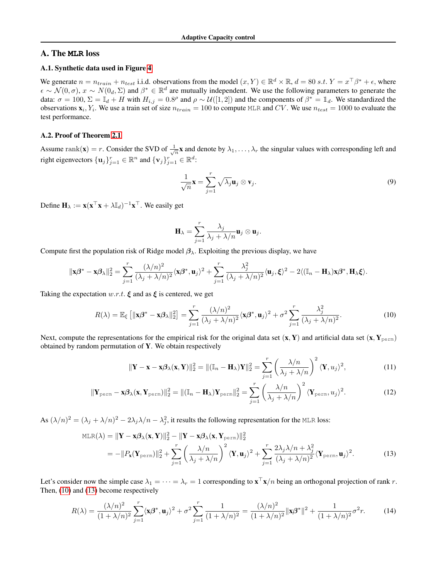## A. The **MLR** loss

## <span id="page-12-0"></span>A.1. Synthetic data used in Figure [4](#page-2-1)

We generate  $n = n_{train} + n_{test}$  i.i.d. observations from the model  $(x, Y) \in \mathbb{R}^d \times \mathbb{R}$ ,  $d = 80 \text{ s.t. } Y = x^{\top} \beta^* + \epsilon$ , where  $\epsilon \sim \mathcal{N}(0,\sigma)$ ,  $x \sim N(0_d,\Sigma)$  and  $\beta^* \in \mathbb{R}^d$  are mutually independent. We use the following parameters to generate the data:  $\sigma = 100$ ,  $\Sigma = \mathbb{I}_d + H$  with  $H_{i,j} = 0.8^\rho$  and  $\rho \sim \mathcal{U}([1,2])$  and the components of  $\beta^* = \mathbb{I}_d$ . We standardized the observations  $x_i, Y_i$ . We use a train set of size  $n_{train} = 100$  to compute MLR and CV. We use  $n_{test} = 1000$  to evaluate the test performance.

#### <span id="page-12-1"></span>A.2. Proof of Theorem [2.1](#page-3-5)

Assume rank(**x**) = r. Consider the SVD of  $\frac{1}{\sqrt{n}}$ **x** and denote by  $\lambda_1, \ldots, \lambda_r$  the singular values with corresponding left and right eigenvectors  $\{\mathbf u_j\}_{j=1}^r \in \mathbb{R}^n$  and  $\{\mathbf v_j\}_{j=1}^r \in \mathbb{R}^d$ :

$$
\frac{1}{\sqrt{n}}\mathbf{x} = \sum_{j=1}^{r} \sqrt{\lambda_j} \mathbf{u}_j \otimes \mathbf{v}_j.
$$
 (9)

Define  $\mathbf{H}_{\lambda} := \mathbf{x} (\mathbf{x}^{\top} \mathbf{x} + \lambda \mathbb{I}_d)^{-1} \mathbf{x}^{\top}$ . We easily get

<span id="page-12-2"></span>
$$
\mathbf{H}_{\lambda} = \sum_{j=1}^{r} \frac{\lambda_j}{\lambda_j + \lambda/n} \mathbf{u}_j \otimes \mathbf{u}_j.
$$

Compute first the population risk of Ridge model  $\beta_{\lambda}$ . Exploiting the previous display, we have

$$
\|\mathbf{x}\boldsymbol{\beta}^*-\mathbf{x}\boldsymbol{\beta}_\lambda\|_2^2=\sum_{j=1}^r\frac{(\lambda/n)^2}{(\lambda_j+\lambda/n)^2}\langle\mathbf{x}\boldsymbol{\beta}^*,\mathbf{u}_j\rangle^2+\sum_{j=1}^r\frac{\lambda_j^2}{(\lambda_j+\lambda/n)^2}\langle\mathbf{u}_j,\boldsymbol{\xi}\rangle^2-2\langle(\mathbb{I}_n-\mathbf{H}_\lambda)\mathbf{x}\boldsymbol{\beta}^*,\mathbf{H}_\lambda\boldsymbol{\xi}\rangle.
$$

Taking the expectation  $w.r.t. \xi$  and as  $\xi$  is centered, we get

$$
R(\lambda) = \mathbb{E}_{\xi} \left[ \|\mathbf{x}\boldsymbol{\beta}^* - \mathbf{x}\boldsymbol{\beta}_{\lambda}\|_{2}^{2} \right] = \sum_{j=1}^{r} \frac{(\lambda/n)^{2}}{(\lambda_j + \lambda/n)^{2}} \langle \mathbf{x}\boldsymbol{\beta}^*, \mathbf{u}_j \rangle^{2} + \sigma^{2} \sum_{j=1}^{r} \frac{\lambda_j^{2}}{(\lambda_j + \lambda/n)^{2}}.
$$
 (10)

Next, compute the representations for the empirical risk for the original data set  $(x, Y)$  and artificial data set  $(x, Y_{\text{perm}})$ obtained by random permutation of Y. We obtain respectively

<span id="page-12-3"></span>
$$
\|\mathbf{Y} - \mathbf{x} - \mathbf{x}\boldsymbol{\beta}_{\lambda}(\mathbf{x}, \mathbf{Y})\|_{2}^{2} = \|(\mathbb{I}_{n} - \mathbf{H}_{\lambda})\mathbf{Y}\|_{2}^{2} = \sum_{j=1}^{r} \left(\frac{\lambda/n}{\lambda_{j} + \lambda/n}\right)^{2} \langle \mathbf{Y}, u_{j} \rangle^{2},
$$
(11)

$$
\|\mathbf{Y}_{\text{perm}} - \mathbf{x}\boldsymbol{\beta}_{\lambda}(\mathbf{x}, \mathbf{Y}_{\text{perm}})\|_{2}^{2} = \|(\mathbb{I}_{n} - \mathbf{H}_{\lambda})\mathbf{Y}_{\text{perm}}\|_{2}^{2} = \sum_{j=1}^{r} \left(\frac{\lambda/n}{\lambda_{j} + \lambda/n}\right)^{2} \langle \mathbf{Y}_{\text{perm}}, u_{j} \rangle^{2}.
$$
 (12)

As  $(\lambda/n)^2 = (\lambda_j + \lambda/n)^2 - 2\lambda_j \lambda/n - \lambda_j^2$ , it results the following representation for the MLR loss:

$$
MLR(\lambda) = \|\mathbf{Y} - \mathbf{x}\boldsymbol{\beta}_{\lambda}(\mathbf{x}, \mathbf{Y})\|_{2}^{2} - \|\mathbf{Y} - \mathbf{x}\boldsymbol{\beta}_{\lambda}(\mathbf{x}, \mathbf{Y}_{\text{perm}})\|_{2}^{2}
$$
  
= 
$$
-\|P_{\mathbf{x}}(\mathbf{Y}_{\text{perm}})\|_{2}^{2} + \sum_{j=1}^{r} \left(\frac{\lambda/n}{\lambda_{j} + \lambda/n}\right)^{2} \langle \mathbf{Y}, \mathbf{u}_{j} \rangle^{2} + \sum_{j=1}^{r} \frac{2\lambda_{j}\lambda/n + \lambda_{j}^{2}}{(\lambda_{j} + \lambda/n)^{2}} \langle \mathbf{Y}_{\text{perm}}, \mathbf{u}_{j} \rangle^{2}.
$$
 (13)

Let's consider now the simple case  $\lambda_1 = \cdots = \lambda_r = 1$  corresponding to  $\mathbf{x}^\top \mathbf{x}/n$  being an orthogonal projection of rank r. Then, [\(10\)](#page-12-2) and [\(13\)](#page-12-3) become respectively

$$
R(\lambda) = \frac{(\lambda/n)^2}{(1+\lambda/n)^2} \sum_{j=1}^r \langle \mathbf{x}\beta^*, \mathbf{u}_j \rangle^2 + \sigma^2 \sum_{j=1}^r \frac{1}{(1+\lambda/n)^2} = \frac{(\lambda/n)^2}{(1+\lambda/n)^2} \|\mathbf{x}\beta^*\|^2 + \frac{1}{(1+\lambda/n)^2} \sigma^2 r. \tag{14}
$$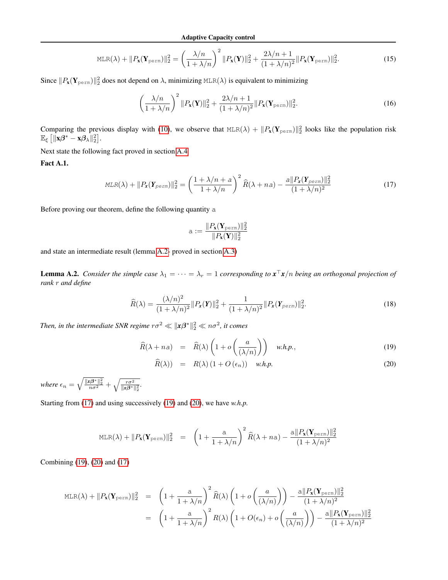$$
\text{MLR}(\lambda) + ||P_{\mathbf{x}}(\mathbf{Y}_{\text{perm}})||_2^2 = \left(\frac{\lambda/n}{1 + \lambda/n}\right)^2 ||P_{\mathbf{x}}(\mathbf{Y})||_2^2 + \frac{2\lambda/n + 1}{(1 + \lambda/n)^2} ||P_{\mathbf{x}}(\mathbf{Y}_{\text{perm}})||_2^2.
$$
 (15)

Since  $||P_x(\mathbf{Y}_{\text{perm}})||_2^2$  does not depend on  $\lambda$ , minimizing MLR( $\lambda$ ) is equivalent to minimizing

$$
\left(\frac{\lambda/n}{1+\lambda/n}\right)^2 \|P_{\mathbf{x}}(\mathbf{Y})\|_2^2 + \frac{2\lambda/n+1}{(1+\lambda/n)^2} \|P_{\mathbf{x}}(\mathbf{Y}_{\text{perm}})\|_2^2.
$$
 (16)

Comparing the previous display with [\(10\)](#page-12-2), we observe that  $MLR(\lambda) + ||P_x(\mathbf{Y}_{perm})||_2^2$  looks like the population risk  $\mathbb{E}_{\xi}\left[\|\mathbf{x}\boldsymbol{\beta}^* - \mathbf{x}\boldsymbol{\beta}_{\lambda}\|_2^2\right].$ 

Next state the following fact proved in section [A.4](#page-15-0)

<span id="page-13-3"></span>Fact A.1.

$$
MLR(\lambda) + ||P_x(\mathbf{Y}_{perm})||_2^2 = \left(\frac{1 + \lambda/n + a}{1 + \lambda/n}\right)^2 \widehat{R}(\lambda + na) - \frac{a||P_x(\mathbf{Y}_{perm})||_2^2}{(1 + \lambda/n)^2}
$$
(17)

Before proving our theorem, define the following quantity a

<span id="page-13-1"></span>
$$
\mathbf{a}:=\frac{\|P_{\mathbf{x}}(\mathbf{Y}_{\text{perm}})\|_2^2}{\|P_{\mathbf{x}}(\mathbf{Y})\|_2^2}
$$

and state an intermediate result (lemma [A.2-](#page-13-0) proved in section [A.3\)](#page-14-0)

<span id="page-13-0"></span>**Lemma A.2.** *Consider the simple case*  $\lambda_1 = \cdots = \lambda_r = 1$  *corresponding to*  $x^{\top}x/n$  *being an orthogonal projection of rank* r *and define*

$$
\widehat{R}(\lambda) = \frac{(\lambda/n)^2}{(1+\lambda/n)^2} ||P_x(Y)||_2^2 + \frac{1}{(1+\lambda/n)^2} ||P_x(Y_{perm})||_2^2.
$$
\n(18)

Then, in the intermediate SNR regime  $r\sigma^2 \ll \| \mathbf{x}\beta^*\|_2^2 \ll n\sigma^2$ , it comes

<span id="page-13-2"></span>
$$
\widehat{R}(\lambda + n\mathbf{a}) = \widehat{R}(\lambda) \left( 1 + o\left(\frac{a}{(\lambda/n)}\right) \right) \quad w.h.p., \tag{19}
$$

$$
\widehat{R}(\lambda)) = R(\lambda) (1 + O(\epsilon_n)) \quad \text{w.h.p.}
$$
\n(20)

*where*  $\epsilon_n = \sqrt{\frac{\|x\beta^*\|_2^2}{n\sigma^2}} + \sqrt{\frac{r\sigma^2}{\|x\beta^*\|_2^2}}$ .

Starting from [\(17\)](#page-13-1) and using successively [\(19\)](#page-13-2) and [\(20\)](#page-13-2), we have *w.h.p.*

$$
\text{MLR}(\lambda) + \|P_{\mathbf{x}}(\mathbf{Y}_{\text{perm}})\|_2^2 = \left(1 + \frac{a}{1 + \lambda/n}\right)^2 \widehat{R}(\lambda + n\mathbf{a}) - \frac{a\|P_{\mathbf{x}}(\mathbf{Y}_{\text{perm}})\|_2^2}{(1 + \lambda/n)^2}
$$

Combining [\(19\)](#page-13-2), [\(20\)](#page-13-2) and [\(17\)](#page-13-1)

$$
\begin{array}{rcl}\n\text{MLR}(\lambda) + \|P_{\mathbf{x}}(\mathbf{Y}_{\text{perm}})\|_{2}^{2} & = & \left(1 + \frac{a}{1 + \lambda/n}\right)^{2} \widehat{R}(\lambda) \left(1 + o\left(\frac{a}{(\lambda/n)}\right)\right) - \frac{a \|P_{\mathbf{x}}(\mathbf{Y}_{\text{perm}})\|_{2}^{2}}{(1 + \lambda/n)^{2}} \\
& = & \left(1 + \frac{a}{1 + \lambda/n}\right)^{2} R(\lambda) \left(1 + O(\epsilon_{n}) + o\left(\frac{a}{(\lambda/n)}\right)\right) - \frac{a \|P_{\mathbf{x}}(\mathbf{Y}_{\text{perm}})\|_{2}^{2}}{(1 + \lambda/n)^{2}}\n\end{array}
$$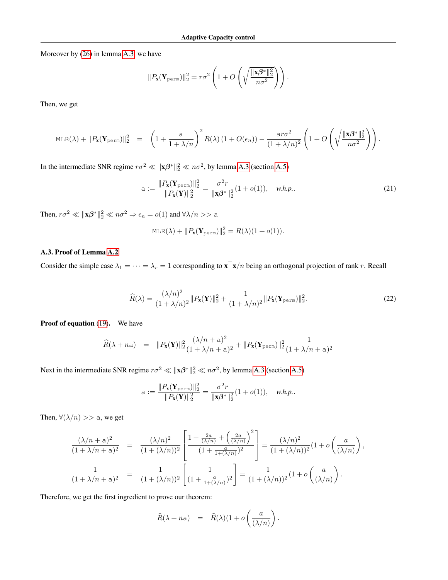Moreover by [\(26\)](#page-16-0) in lemma [A.3,](#page-16-1) we have

$$
||P_{\mathbf{x}}(\mathbf{Y}_{\text{perm}})||_2^2 = r\sigma^2 \left(1 + O\left(\sqrt{\frac{\|\mathbf{x}\beta^*\|_2^2}{n\sigma^2}}\right)\right).
$$

Then, we get

$$
\mathrm{MLR}(\lambda) + \|P_{\mathbf{x}}(\mathbf{Y}_{\mathrm{perm}})\|_2^2 = \left(1 + \frac{a}{1 + \lambda/n}\right)^2 R(\lambda) \left(1 + O(\epsilon_n)\right) - \frac{a r \sigma^2}{(1 + \lambda/n)^2} \left(1 + O\left(\sqrt{\frac{\|\mathbf{x}\beta^*\|_2^2}{n \sigma^2}}\right)\right).
$$

In the intermediate SNR regime  $r\sigma^2 \ll ||\mathbf{x}\beta^*||_2^2 \ll n\sigma^2$ , by lemma [A.3](#page-16-1) (section [A.5\)](#page-16-2)

a := 
$$
\frac{\|P_{\mathbf{x}}(\mathbf{Y}_{\text{perm}})\|_{2}^{2}}{\|P_{\mathbf{x}}(\mathbf{Y})\|_{2}^{2}} = \frac{\sigma^{2}r}{\|\mathbf{x}\beta^{*}\|_{2}^{2}}(1+o(1)), \quad w.h.p..
$$
 (21)

Then,  $r\sigma^2 \ll \|\mathbf{x}\boldsymbol{\beta}^*\|_2^2 \ll n\sigma^2 \Rightarrow \epsilon_n = o(1)$  and  $\forall \lambda/n >> a$ 

<span id="page-14-1"></span>
$$
MLR(\lambda) + ||P_{\mathbf{x}}(\mathbf{Y}_{\text{perm}})||_2^2 = R(\lambda)(1 + o(1)).
$$

## <span id="page-14-0"></span>A.3. Proof of Lemma [A.2](#page-13-0)

Consider the simple case  $\lambda_1 = \cdots = \lambda_r = 1$  corresponding to  $\mathbf{x}^\top \mathbf{x}/n$  being an orthogonal projection of rank r. Recall

$$
\widehat{R}(\lambda) = \frac{(\lambda/n)^2}{(1+\lambda/n)^2} ||P_{\mathbf{x}}(\mathbf{Y})||_2^2 + \frac{1}{(1+\lambda/n)^2} ||P_{\mathbf{x}}(\mathbf{Y}_{\text{perm}})||_2^2.
$$
\n(22)

Proof of equation [\(19\)](#page-13-2). We have

$$
\widehat{R}(\lambda + n\mathsf{a}) = \|P_{\mathbf{x}}(\mathbf{Y})\|_2^2 \frac{(\lambda/n + \mathsf{a})^2}{(1 + \lambda/n + \mathsf{a})^2} + \|P_{\mathbf{x}}(\mathbf{Y}_{\text{perm}})\|_2^2 \frac{1}{(1 + \lambda/n + \mathsf{a})^2}
$$

Next in the intermediate SNR regime  $r\sigma^2 \ll ||\mathbf{x}\beta^*||_2^2 \ll n\sigma^2$ , by lemma [A.3](#page-16-1) (section [A.5\)](#page-16-2)

a := 
$$
\frac{\|P_{\mathbf{x}}(\mathbf{Y}_{\text{perm}})\|_2^2}{\|P_{\mathbf{x}}(\mathbf{Y})\|_2^2} = \frac{\sigma^2 r}{\|\mathbf{x}\beta^*\|_2^2} (1 + o(1)), \quad w.h.p..
$$

Then,  $\forall (\lambda/n) >> a$ , we get

$$
\frac{(\lambda/n + a)^2}{(1 + \lambda/n + a)^2} = \frac{(\lambda/n)^2}{(1 + (\lambda/n))^2} \left[ \frac{1 + \frac{2a}{(\lambda/n)} + \left(\frac{2a}{(\lambda/n)}\right)^2}{(1 + \frac{a}{1 + (\lambda/n)})^2} \right] = \frac{(\lambda/n)^2}{(1 + (\lambda/n))^2} (1 + o\left(\frac{a}{(\lambda/n)}\right),
$$
  

$$
\frac{1}{(1 + \lambda/n + a)^2} = \frac{1}{(1 + (\lambda/n))^2} \left[ \frac{1}{(1 + \frac{a}{1 + (\lambda/n)})^2} \right] = \frac{1}{(1 + (\lambda/n))^2} (1 + o\left(\frac{a}{(\lambda/n)}\right).
$$

Therefore, we get the first ingredient to prove our theorem:

$$
\widehat{R}(\lambda + n\mathsf{a}) = \widehat{R}(\lambda)(1 + o\left(\frac{a}{(\lambda/n)}\right).
$$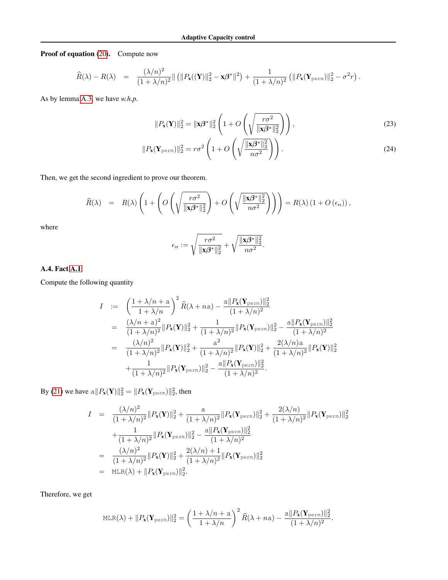Proof of equation [\(20\)](#page-13-2). Compute now

$$
\widehat{R}(\lambda) - R(\lambda) = \frac{(\lambda/n)^2}{(1 + \lambda/n)^2} || (||P_{\mathbf{x}}((\mathbf{Y})||_2^2 - \mathbf{x}\beta^*||^2) + \frac{1}{(1 + \lambda/n)^2} (||P_{\mathbf{x}}(\mathbf{Y}_{\text{perm}})||_2^2 - \sigma^2 r).
$$

As by lemma [A.3,](#page-16-1) we have *w.h.p.*

$$
||P_{\mathbf{x}}(\mathbf{Y})||_2^2 = ||\mathbf{x}\boldsymbol{\beta}^*||_2^2 \left(1 + O\left(\sqrt{\frac{r\sigma^2}{||\mathbf{x}\boldsymbol{\beta}^*||_2^2}}\right)\right),\tag{23}
$$

$$
||P_{\mathbf{x}}(\mathbf{Y}_{\text{perm}})||_2^2 = r\sigma^2 \left(1 + O\left(\sqrt{\frac{||\mathbf{x}\beta^*||_2^2}{n\sigma^2}}\right)\right).
$$
\n(24)

Then, we get the second ingredient to prove our theorem.

$$
\widehat{R}(\lambda) = R(\lambda) \left( 1 + \left( O\left( \sqrt{\frac{r \sigma^2}{\|\mathbf{x}\boldsymbol{\beta}^*\|_2^2}} \right) + O\left( \sqrt{\frac{\|\mathbf{x}\boldsymbol{\beta}^*\|_2^2}{n \sigma^2}} \right) \right) \right) = R(\lambda) \left( 1 + O\left(\epsilon_n\right) \right),
$$

where

$$
\epsilon_n := \sqrt{\frac{r\sigma^2}{\|\mathbf{x}\boldsymbol{\beta}^*\|_2^2}} + \sqrt{\frac{\|\mathbf{x}\boldsymbol{\beta}^*\|_2^2}{n\sigma^2}}.
$$

### <span id="page-15-0"></span>A.4. Fact [A.1](#page-13-3)

Compute the following quantity

$$
I := \left(\frac{1 + \lambda/n + a}{1 + \lambda/n}\right)^2 \widehat{R}(\lambda + na) - \frac{a||P_{\mathbf{X}}(\mathbf{Y}_{\text{perm}})||_2^2}{(1 + \lambda/n)^2}
$$
  
\n
$$
= \frac{(\lambda/n + a)^2}{(1 + \lambda/n)^2} ||P_{\mathbf{X}}(\mathbf{Y})||_2^2 + \frac{1}{(1 + \lambda/n)^2} ||P_{\mathbf{X}}(\mathbf{Y}_{\text{perm}})||_2^2 - \frac{a||P_{\mathbf{X}}(\mathbf{Y}_{\text{perm}})||_2^2}{(1 + \lambda/n)^2}
$$
  
\n
$$
= \frac{(\lambda/n)^2}{(1 + \lambda/n)^2} ||P_{\mathbf{X}}(\mathbf{Y})||_2^2 + \frac{a^2}{(1 + \lambda/n)^2} ||P_{\mathbf{X}}(\mathbf{Y})||_2^2 + \frac{2(\lambda/n)a}{(1 + \lambda/n)^2} ||P_{\mathbf{X}}(\mathbf{Y})||_2^2
$$
  
\n
$$
+ \frac{1}{(1 + \lambda/n)^2} ||P_{\mathbf{X}}(\mathbf{Y}_{\text{perm}})||_2^2 - \frac{a||P_{\mathbf{X}}(\mathbf{Y}_{\text{perm}})||_2^2}{(1 + \lambda/n)^2}.
$$

By [\(21\)](#page-14-1) we have  $\alpha ||P_x(\mathbf{Y})||_2^2 = ||P_x(\mathbf{Y}_{perm})||_2^2$ , then

$$
I = \frac{(\lambda/n)^2}{(1+\lambda/n)^2} \|P_{\mathbf{x}}(\mathbf{Y})\|_2^2 + \frac{a}{(1+\lambda/n)^2} \|P_{\mathbf{x}}(\mathbf{Y}_{\text{perm}})\|_2^2 + \frac{2(\lambda/n)}{(1+\lambda/n)^2} \|P_{\mathbf{x}}(\mathbf{Y}_{\text{perm}})\|_2^2
$$
  
+ 
$$
\frac{1}{(1+\lambda/n)^2} \|P_{\mathbf{x}}(\mathbf{Y}_{\text{perm}})\|_2^2 - \frac{a \|P_{\mathbf{x}}(\mathbf{Y}_{\text{perm}})\|_2^2}{(1+\lambda/n)^2}
$$
  
= 
$$
\frac{(\lambda/n)^2}{(1+\lambda/n)^2} \|P_{\mathbf{x}}(\mathbf{Y})\|_2^2 + \frac{2(\lambda/n) + 1}{(1+\lambda/n)^2} \|P_{\mathbf{x}}(\mathbf{Y}_{\text{perm}})\|_2^2
$$
  
= MLR(\lambda) +  $||P_{\mathbf{x}}(\mathbf{Y}_{\text{perm}})||_2^2$ .

Therefore, we get

$$
\text{MLR}(\lambda) + \|P_{\mathbf{x}}(\mathbf{Y}_{\text{perm}})\|_2^2 = \left(\frac{1 + \lambda/n + a}{1 + \lambda/n}\right)^2 \widehat{R}(\lambda + na) - \frac{a\|P_{\mathbf{x}}(\mathbf{Y}_{\text{perm}})\|_2^2}{(1 + \lambda/n)^2}.
$$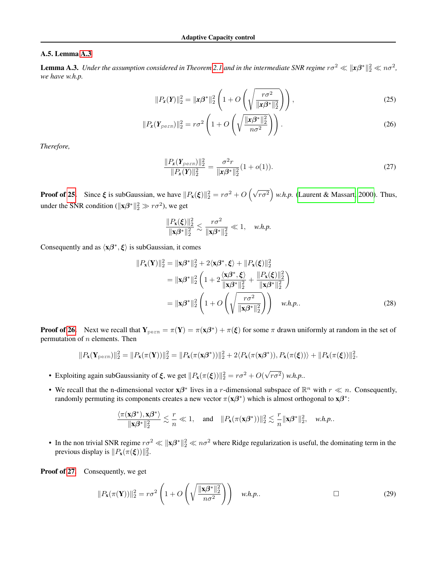#### <span id="page-16-2"></span>A.5. Lemma [A.3](#page-16-1)

<span id="page-16-1"></span>**Lemma A.3.** Under the assumption considered in Theorem [2.1](#page-3-5) and in the intermediate SNR regime  $r\sigma^2\ll ||x\beta^*||_2^2\ll n\sigma^2$ , *we have w.h.p.*

$$
||P_x(Y)||_2^2 = ||x\beta^*||_2^2 \left(1 + O\left(\sqrt{\frac{r\sigma^2}{||x\beta^*||_2^2}}\right)\right),\tag{25}
$$

$$
||P_{\mathbf{x}}(\boldsymbol{Y}_{perm})||_2^2 = r\sigma^2 \left(1 + O\left(\sqrt{\frac{||\mathbf{x}\beta^*||_2^2}{n\sigma^2}}\right)\right).
$$
\n(26)

*Therefore,*

<span id="page-16-4"></span><span id="page-16-3"></span><span id="page-16-0"></span>
$$
\frac{\|P_{\mathbf{x}}(\mathbf{Y}_{perm})\|_2^2}{\|P_{\mathbf{x}}(\mathbf{Y})\|_2^2} = \frac{\sigma^2 r}{\|\mathbf{x}\beta^*\|_2^2} (1 + o(1)).
$$
\n(27)

**Proof of [25.](#page-16-3)** Since  $\xi$  is subGaussian, we have  $||P_x(\xi)||_2^2 = r\sigma^2 + O\left(\sqrt{r\sigma^2}\right)$  w.h.p. [\(Laurent & Massart, 2000\)](#page-10-15). Thus, under the SNR condition ( $||\mathbf{x}\beta^*||_2^2 \gg r\sigma^2$ ), we get

$$
\frac{\|P_{\mathbf{x}}(\xi)\|_2^2}{\|\mathbf{x}\beta^*\|_2^2} \lesssim \frac{r\sigma^2}{\|\mathbf{x}\beta^*\|_2^2} \ll 1, \quad w.h.p.
$$

Consequently and as  $\langle x\beta^*, \xi \rangle$  is subGaussian, it comes

$$
||P_{\mathbf{x}}(\mathbf{Y})||_2^2 = ||\mathbf{x}\beta^*||_2^2 + 2\langle \mathbf{x}\beta^*, \xi \rangle + ||P_{\mathbf{x}}(\xi)||_2^2
$$
  
\n
$$
= ||\mathbf{x}\beta^*||_2^2 \left(1 + 2\frac{\langle \mathbf{x}\beta^*, \xi \rangle}{||\mathbf{x}\beta^*||_2^2} + \frac{||P_{\mathbf{x}}(\xi)||_2^2}{||\mathbf{x}\beta^*||_2^2}\right)
$$
  
\n
$$
= ||\mathbf{x}\beta^*||_2^2 \left(1 + O\left(\sqrt{\frac{r\sigma^2}{||\mathbf{x}\beta^*||_2^2}}\right)\right) \quad w.h.p.. \tag{28}
$$

**Proof of [26.](#page-16-0)** Next we recall that  $Y_{perm} = \pi(Y) = \pi(x\beta^*) + \pi(\xi)$  for some  $\pi$  drawn uniformly at random in the set of permutation of  $n$  elements. Then

$$
||P_{\mathbf{x}}(\mathbf{Y}_{\text{perm}})||_2^2 = ||P_{\mathbf{x}}(\pi(\mathbf{Y}))||_2^2 = ||P_{\mathbf{x}}(\pi(\mathbf{x}\beta^*))||_2^2 + 2\langle P_{\mathbf{x}}(\pi(\mathbf{x}\beta^*)), P_{\mathbf{x}}(\pi(\xi))\rangle + ||P_{\mathbf{x}}(\pi(\xi))||_2^2.
$$

- Exploiting again subGaussianity of  $\xi$ , we get  $||P_{\mathbf{x}}(\pi(\xi))||_2^2 = r\sigma^2 + O(\sqrt{\pi})$  $(r\sigma^2)$  *w.h.p..*
- We recall that the n-dimensional vector  $x\beta^*$  lives in a r-dimensional subspace of  $\mathbb{R}^n$  with  $r \ll n$ . Consequently, randomly permuting its components creates a new vector  $\pi(\mathbf{x}\beta^*)$  which is almost orthogonal to  $\mathbf{x}\beta^*$ :

$$
\frac{\langle \pi(\mathbf{x}\boldsymbol{\beta}^*),\mathbf{x}\boldsymbol{\beta}^*\rangle}{\|\mathbf{x}\boldsymbol{\beta}^*\|_2^2}\lesssim \frac{r}{n}\ll 1,\quad\text{and}\quad \|P_\mathbf{x}(\pi(\mathbf{x}\boldsymbol{\beta}^*))\|_2^2\lesssim \frac{r}{n}\|\mathbf{x}\boldsymbol{\beta}^*\|_2^2,\quad\text{w.h.p.}.
$$

• In the non trivial SNR regime  $r\sigma^2 \ll ||\mathbf{x}\beta^*||_2^2 \ll n\sigma^2$  where Ridge regularization is useful, the dominating term in the previous display is  $||P_{\mathbf{x}}(\pi(\boldsymbol{\xi}))||_2^2$ .

Proof of [27.](#page-16-4) Consequently, we get

$$
||P_{\mathbf{x}}(\pi(\mathbf{Y}))||_2^2 = r\sigma^2 \left(1 + O\left(\sqrt{\frac{\|\mathbf{x}\beta^*\|_2^2}{n\sigma^2}}\right)\right) \quad w.h.p.. \qquad \Box \qquad (29)
$$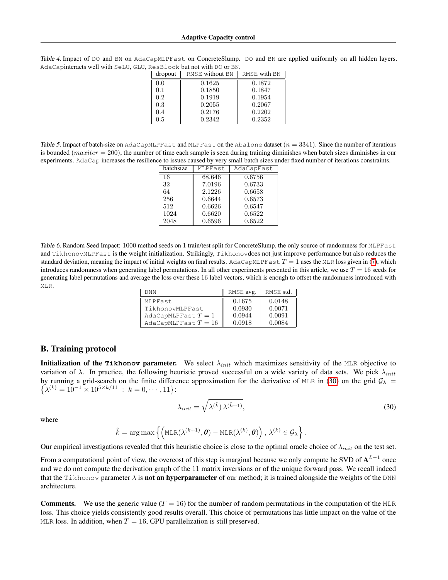<span id="page-17-4"></span>Table 4. Impact of DO and BN on AdaCapMLPFast on ConcreteSlump. DO and BN are applied uniformly on all hidden layers. AdaCapinteracts well with SeLU, GLU, ResBlock but not with DO or BN.

| dropout | RMSE without BN | RMSE with BN |
|---------|-----------------|--------------|
| 0.0     | 0.1625          | 0.1872       |
| 0.1     | 0.1850          | 0.1847       |
| $0.2\,$ | 0.1919          | 0.1954       |
| 0.3     | 0.2055          | 0.2067       |
| 0.4     | 0.2176          | 0.2202       |
| 0.5     | 0.2342          | 0.2352       |

<span id="page-17-3"></span>Table 5. Impact of batch-size on AdaCapMLPFast and MLPFast on the Abalone dataset  $(n = 3341)$ . Since the number of iterations is bounded ( $maxiter = 200$ ), the number of time each sample is seen during training diminishes when batch sizes diminishes in our experiments. AdaCap increases the resilience to issues caused by very small batch sizes under fixed number of iterations constraints.

| batchsize | MLPFast | AdaCapFast |  |  |  |  |  |  |  |
|-----------|---------|------------|--|--|--|--|--|--|--|
| 16        | 68.646  | 0.6756     |  |  |  |  |  |  |  |
| 32        | 7.0196  | 0.6733     |  |  |  |  |  |  |  |
| 64        | 2.1226  | 0.6658     |  |  |  |  |  |  |  |
| 256       | 0.6644  | 0.6573     |  |  |  |  |  |  |  |
| 512       | 0.6626  | 0.6547     |  |  |  |  |  |  |  |
| 1024      | 0.6620  | 0.6522     |  |  |  |  |  |  |  |
| 2048      | 0.6596  | 0.6522     |  |  |  |  |  |  |  |

<span id="page-17-0"></span>Table 6. Random Seed Impact: 1000 method seeds on 1 train/test split for ConcreteSlump, the only source of randomness for MLPFast and TikhonovMLPFast is the weight initialization. Strikingly, Tikhonovdoes not just improve performance but also reduces the standard deviation, meaning the impact of initial weights on final results. AdaCapMLPFast  $T = 1$  uses the MLR loss given in [\(7\)](#page-4-2), which introduces randomness when generating label permutations. In all other experiments presented in this article, we use  $T = 16$  seeds for generating label permutations and average the loss over these 16 label vectors, which is enough to offset the randomness introduced with MLR.

| DNN                  | RMSE avg. | RMSE std. |
|----------------------|-----------|-----------|
| MLPFast              | 0.1675    | 0.0148    |
| TikhonovMLPFast      | 0.0930    | 0.0071    |
| AdaCapMLPFast $T=1$  | 0.0944    | 0.0091    |
| AdaCapMLPFast $T=16$ | 0.0918    | 0.0084    |

#### <span id="page-17-2"></span>B. Training protocol

**Initialization of the <b>Tikhonov** parameter. We select  $\lambda_{init}$  which maximizes sensitivity of the MLR objective to variation of  $\lambda$ . In practice, the following heuristic proved successful on a wide variety of data sets. We pick  $\lambda_{init}$ by running a grid-search on the finite difference approximation for the derivative of MLR in [\(30\)](#page-17-1) on the grid  $G_\lambda$  =  $\{\lambda^{(k)} = 10^{-1} \times 10^{5 \times k/11} : k = 0, \cdots, 11\}$ :

<span id="page-17-1"></span>
$$
\lambda_{init} = \sqrt{\lambda^{(\hat{k})}\lambda^{(\hat{k}+1)}},\tag{30}
$$

where

$$
\hat{k} = \arg \max \left\{ \left( \text{MLR}(\lambda^{(k+1)}, \boldsymbol{\theta}) - \text{MLR}(\lambda^{(k)}, \boldsymbol{\theta}) \right), \lambda^{(k)} \in \mathcal{G}_{\lambda} \right\}.
$$

Our empirical investigations revealed that this heuristic choice is close to the optimal oracle choice of  $\lambda_{init}$  on the test set.

From a computational point of view, the overcost of this step is marginal because we only compute he SVD of  $A^{L-1}$  once and we do not compute the derivation graph of the 11 matrix inversions or of the unique forward pass. We recall indeed that the Tikhonov parameter  $\lambda$  is **not an hyperparameter** of our method; it is trained alongside the weights of the DNN architecture.

**Comments.** We use the generic value ( $T = 16$ ) for the number of random permutations in the computation of the MLR loss. This choice yields consistently good results overall. This choice of permutations has little impact on the value of the MLR loss. In addition, when  $T = 16$ , GPU parallelization is still preserved.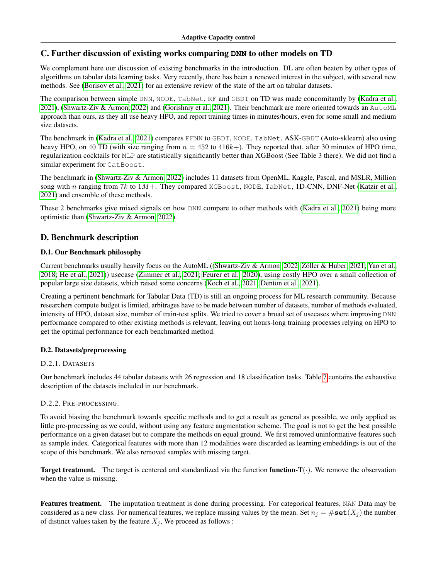## <span id="page-18-0"></span>C. Further discussion of existing works comparing **DNN** to other models on TD

We complement here our discussion of existing benchmarks in the introduction. DL are often beaten by other types of algorithms on tabular data learning tasks. Very recently, there has been a renewed interest in the subject, with several new methods. See [\(Borisov et al., 2021\)](#page-8-3) for an extensive review of the state of the art on tabular datasets.

The comparison between simple DNN, NODE, TabNet, RF and GBDT on TD was made concomitantly by [\(Kadra et al.,](#page-9-9) [2021\)](#page-9-9), [\(Shwartz-Ziv & Armon, 2022\)](#page-10-4) and [\(Gorishniy et al., 2021\)](#page-9-7). Their benchmark are more oriented towards an AutoML approach than ours, as they all use heavy HPO, and report training times in minutes/hours, even for some small and medium size datasets.

The benchmark in [\(Kadra et al., 2021\)](#page-9-9) compares FFNN to GBDT, NODE, TabNet, ASK-GBDT (Auto-sklearn) also using heavy HPO, on 40 TD (with size ranging from  $n = 452$  to  $416k+$ ). They reported that, after 30 minutes of HPO time, regularization cocktails for MLP are statistically significantly better than XGBoost (See Table 3 there). We did not find a similar experiment for CatBoost.

The benchmark in [\(Shwartz-Ziv & Armon, 2022\)](#page-10-4) includes 11 datasets from OpenML, Kaggle, Pascal, and MSLR, Million song with n ranging from 7k to  $1M+$ . They compared XGBoost, NODE, TabNet, 1D-CNN, DNF-Net [\(Katzir et al.,](#page-9-18) [2021\)](#page-9-18) and ensemble of these methods.

These 2 benchmarks give mixed signals on how DNN compare to other methods with [\(Kadra et al., 2021\)](#page-9-9) being more optimistic than [\(Shwartz-Ziv & Armon, 2022\)](#page-10-4).

# D. Benchmark description

## D.1. Our Benchmark philosophy

Current benchmarks usually heavily focus on the AutoML ([\(Shwartz-Ziv & Armon, 2022;](#page-10-4) [Zöller & Huber, 2021;](#page-11-9) [Yao et al.,](#page-11-10) [2018;](#page-11-10) [He et al., 2021\)](#page-9-19)) usecase [\(Zimmer et al., 2021;](#page-11-11) [Feurer et al., 2020\)](#page-8-22), using costly HPO over a small collection of popular large size datasets, which raised some concerns [\(Koch et al., 2021;](#page-10-16) [Denton et al., 2021\)](#page-8-23).

Creating a pertinent benchmark for Tabular Data (TD) is still an ongoing process for ML research community. Because researchers compute budget is limited, arbitrages have to be made between number of datasets, number of methods evaluated, intensity of HPO, dataset size, number of train-test splits. We tried to cover a broad set of usecases where improving DNN performance compared to other existing methods is relevant, leaving out hours-long training processes relying on HPO to get the optimal performance for each benchmarked method.

## D.2. Datasets/preprocessing

## D.2.1. DATASETS

Our benchmark includes 44 tabular datasets with 26 regression and 18 classification tasks. Table [7](#page-19-0) contains the exhaustive description of the datasets included in our benchmark.

## <span id="page-18-1"></span>D.2.2. PRE-PROCESSING.

To avoid biasing the benchmark towards specific methods and to get a result as general as possible, we only applied as little pre-processing as we could, without using any feature augmentation scheme. The goal is not to get the best possible performance on a given dataset but to compare the methods on equal ground. We first removed uninformative features such as sample index. Categorical features with more than 12 modalities were discarded as learning embeddings is out of the scope of this benchmark. We also removed samples with missing target.

**Target treatment.** The target is centered and standardized via the function **function-T** $(\cdot)$ . We remove the observation when the value is missing.

Features treatment. The imputation treatment is done during processing. For categorical features, NAN Data may be considered as a new class. For numerical features, we replace missing values by the mean. Set  $n_i = \# \textbf{set}(X_i)$  the number of distinct values taken by the feature  $X_i$ , We proceed as follows :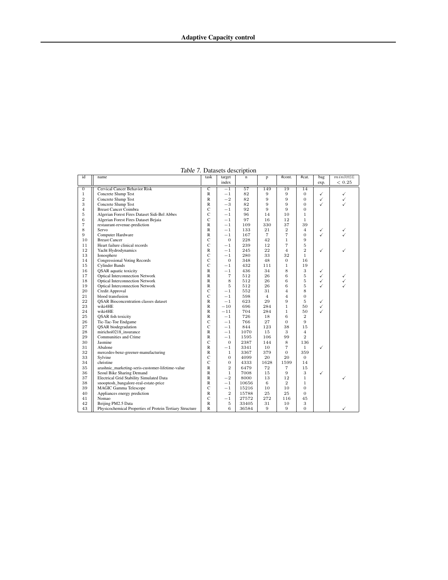| id               | name                                             | task                  | target         | raone 7. Datasets description<br>$\mathbf n$ | p              | #cont.         | #cat.          | bag          | $min$ RMSE |
|------------------|--------------------------------------------------|-----------------------|----------------|----------------------------------------------|----------------|----------------|----------------|--------------|------------|
|                  |                                                  |                       | index          |                                              |                |                |                | exp.         | ${}< 0.25$ |
| $\boldsymbol{0}$ | <b>Cervical Cancer Behavior Risk</b>             | $\overline{\text{c}}$ | $-1$           | $\overline{57}$                              | 149            | 19             | 14             |              |            |
| $\mathbf{1}$     | Concrete Slump Test                              | $\mathbb{R}$          | $^{-1}$        | 82                                           | 9              | $\overline{9}$ | 0              | ✓            | ✓          |
| $\overline{2}$   | Concrete Slump Test                              | R                     | $-2$           | 82                                           | 9              | 9              | $\overline{0}$ | $\checkmark$ | ✓          |
| 3                | Concrete Slump Test                              | R                     | $-3$           | 82                                           | 9              | 9              | $\overline{0}$ | ✓            | ✓          |
| $\overline{4}$   | <b>Breast Cancer Coimbra</b>                     | $\mathbf C$           | $^{-1}$        | 92                                           | 9              | 9              | 0              |              |            |
| 5                | Algerian Forest Fires Dataset Sidi-Bel Abbes     | C                     | $-1$           | 96                                           | 14             | 10             | $\mathbf{1}$   |              |            |
| 6                | Algerian Forest Fires Dataset Bejaia             | $\mathbf C$           | $^{-1}$        | 97                                           | 16             | 12             | $\mathbf{1}$   |              |            |
| $\overline{7}$   | restaurant-revenue-prediction                    | $\mathbb{R}$          | $-1$           | 109                                          | 330            | 37             | 39             |              |            |
| 8                | Servo                                            | $\mathsf{R}$          | $^{-1}$        | 133                                          | 21             | $\overline{2}$ | $\overline{4}$ | ✓            | ✓          |
| 9                | Computer Hardware                                | $\mathbb{R}$          | $^{-1}$        | 167                                          | $\overline{7}$ | $\overline{7}$ | $\overline{0}$ | ✓            |            |
| 10               | <b>Breast Cancer</b>                             | C                     | $\overline{0}$ | 228                                          | 42             | $\mathbf{1}$   | 9              |              |            |
| 11               | Heart failure clinical records                   | $\mathbf C$           | $^{-1}$        | 239                                          | 12             | $\overline{7}$ | 5              |              |            |
| 12               | Yacht Hydrodynamics                              | $\mathbb{R}$          | $^{-1}$        | 245                                          | 22             | $\overline{4}$ | $\overline{2}$ | ✓            | ✓          |
| 13               | Ionosphere                                       | $\mathsf{C}$          | $^{-1}$        | 280                                          | 33             | 32             | $\mathbf{1}$   |              |            |
| 14               | <b>Congressional Voting Records</b>              | $\mathbf C$           | $\overline{0}$ | 348                                          | 48             | $\overline{0}$ | 16             |              |            |
| 15               | <b>Cylinder Bands</b>                            | C                     | $^{-1}$        | 432                                          | 111            | $\mathbf{1}$   | 19             |              |            |
| 16               | <b>QSAR</b> aquatic toxicity                     | $\mathbb{R}$          | $^{-1}$        | 436                                          | 34             | 8              | 3              | ✓            |            |
| 17               | <b>Optical Interconnection Network</b>           | $\mathbb{R}$          | $\overline{7}$ | 512                                          | 26             | 6              | 5              | ✓            | ✓          |
| 18               | <b>Optical Interconnection Network</b>           | $\mathbb{R}$          | 8              | 512                                          | 26             | 6              | 5              | ✓            |            |
| 19               | <b>Optical Interconnection Network</b>           | R                     | 5              | 512                                          | 26             | 6              | 5              | ✓            |            |
| 20               | Credit Approval                                  | C                     | $^{-1}$        | 552                                          | 31             | $\overline{4}$ | 8              |              |            |
| 21               | blood transfusion                                | $\mathbf C$           | $^{-1}$        | 598                                          | $\overline{4}$ | $\overline{4}$ | $\overline{0}$ |              |            |
| 22               | <b>OSAR Bioconcentration classes dataset</b>     | $\mathbb{R}$          | $^{-1}$        | 623                                          | 29             | 9              | 5              | ✓            |            |
| 23               | wiki4HE                                          | $\mathbb{R}$          | $-10$          | 696                                          | 284            | $\mathbf{1}$   | 50             | ✓            |            |
| 24               | wiki4HE                                          | R                     | $^{-11}$       | 704                                          | 284            | $\mathbf{1}$   | 50             | ✓            |            |
| 25               | <b>OSAR</b> fish toxicity                        | R                     | $-1$           | 726                                          | 18             | 6              | $\overline{2}$ |              |            |
| 26               | Tic-Tac-Toe Endgame                              | $\mathbf C$           | $^{-1}$        | 766                                          | 27             | $\Omega$       | 9              |              |            |
| 27               | <b>OSAR</b> biodegradation                       | $\mathsf{C}$          | $-1$           | 844                                          | 123            | 38             | 15             |              |            |
| 28               | mirichoi0218 insurance                           | $\mathbb{R}$          | $^{-1}$        | 1070                                         | 15             | 3              | $\overline{4}$ |              |            |
| 29               | Communities and Crime                            | $\mathbb{R}$          | $^{-1}$        | 1595                                         | 106            | 99             | $\overline{2}$ |              |            |
| 30               | Jasmine                                          | $\mathsf{C}$          | $\Omega$       | 2387                                         | 144            | 8              | 136            |              |            |
| 31               | Abalone                                          | $\mathbb{R}$          | $^{-1}$        | 3341                                         | 10             | $\overline{7}$ | $\mathbf{1}$   | ✓            |            |
| 32               | mercedes-benz-greener-manufacturing              | R                     | 1              | 3367                                         | 379            | $\Omega$       | 359            |              |            |
| 33               | Sylvine                                          | $\mathbf C$           | $\mathbf{0}$   | 4099                                         | 20             | 20             | $\overline{0}$ |              |            |
| 34               | christine                                        | $\mathbf C$           | $\mathbf{0}$   | 4333                                         | 1628           | 1599           | 14             |              |            |
| 35               | arashnic_marketing-seris-customer-lifetime-value | $\mathsf{R}$          | $\overline{2}$ | 6479                                         | 72             | $\overline{7}$ | 15             |              |            |
| 36               | Seoul Bike Sharing Demand                        | $\mathbb{R}$          | $\mathbf{1}$   | 7008                                         | 15             | 9              | 3              | ✓            |            |
| 37               | Electrical Grid Stability Simulated Data         | $\mathbb{R}$          | $-2$           | 8000                                         | 13             | 12             | $\mathbf{1}$   |              | ✓          |
| 38               | snooptosh_bangalore-real-estate-price            | $\mathbb{R}$          | $^{-1}$        | 10656                                        | 6              | $\overline{2}$ | $\mathbf{1}$   |              |            |
| 39               | <b>MAGIC Gamma Telescope</b>                     | $\mathsf{C}$          | $-1$           | 15216                                        | 10             | 10             | $\overline{0}$ |              |            |
| 40               | Appliances energy prediction                     | $\mathbb{R}$          | $\overline{2}$ | 15788                                        | 25             | 25             | $\overline{0}$ |              |            |
| 41               | Nomao                                            | $\mathbf C$           | $^{-1}$        | 27572                                        | 272            | 116            | 45             |              |            |
| 42               |                                                  |                       |                |                                              |                |                |                |              |            |
|                  | Beijing PM2.5 Data                               | $\mathbb{R}$          | 5              | 33405                                        | 31             | 10             | 3              |              |            |

<span id="page-19-0"></span>Table 7. Datasets description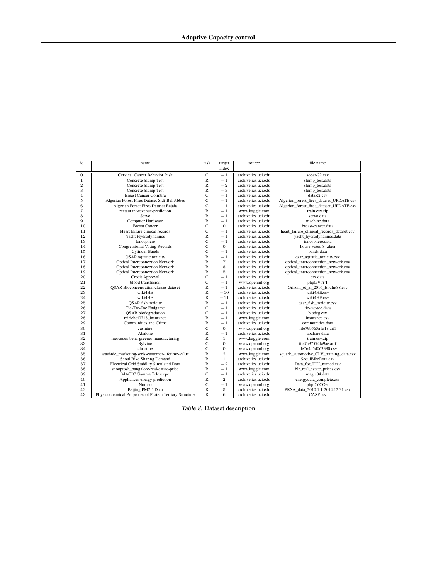| id             | name                                                     | task                  | target         | source              | file name                                  |
|----------------|----------------------------------------------------------|-----------------------|----------------|---------------------|--------------------------------------------|
|                |                                                          |                       | index          |                     |                                            |
| $\overline{0}$ | Cervical Cancer Behavior Risk                            | $\overline{\text{c}}$ | $-1$           | archive.ics.uci.edu | sobar-72.csv                               |
| $\,1$          | <b>Concrete Slump Test</b>                               | $\mathbb{R}$          | $-1$           | archive.ics.uci.edu | slump test.data                            |
| $\overline{2}$ | Concrete Slump Test                                      | $\mathbb{R}$          | $-2$           | archive.ics.uci.edu | slump_test.data                            |
| 3              | <b>Concrete Slump Test</b>                               | R                     | $-3$           | archive.ics.uci.edu | slump_test.data                            |
| $\overline{4}$ | <b>Breast Cancer Coimbra</b>                             | Ċ                     | $-1$           | archive.ics.uci.edu | dataR2.csv                                 |
| $\overline{5}$ | Algerian Forest Fires Dataset Sidi-Bel Abbes             | C                     | $-1$           | archive.ics.uci.edu | Algerian forest fires dataset UPDATE.csv   |
| 6              | Algerian Forest Fires Dataset Bejaia                     | Ċ                     | $-1$           | archive.ics.uci.edu | Algerian_forest_fires_dataset_UPDATE.csv   |
| $\overline{7}$ | restaurant-revenue-prediction                            | R                     | $-1$           | www.kaggle.com      | train.csv.zip                              |
| 8              | Servo                                                    | R                     | $-1$           | archive.ics.uci.edu | servo.data                                 |
| 9              | <b>Computer Hardware</b>                                 | $\mathbb{R}$          | $-1$           | archive.ics.uci.edu | machine.data                               |
| 10             | <b>Breast Cancer</b>                                     | C                     | $\Omega$       | archive.ics.uci.edu | breast-cancer.data                         |
| 11             | Heart failure clinical records                           | Ċ                     | $-1$           | archive.ics.uci.edu | heart_failure_clinical_records_dataset.csv |
| 12             | Yacht Hydrodynamics                                      | R                     | $-1$           | archive.ics.uci.edu | yacht_hydrodynamics.data                   |
| 13             | Ionosphere                                               | C                     | $-1$           | archive.ics.uci.edu | ionosphere.data                            |
| 14             | <b>Congressional Voting Records</b>                      | Ċ                     | $\overline{0}$ | archive.ics.uci.edu | house-votes-84.data                        |
| 15             | <b>Cylinder Bands</b>                                    | Ċ                     | $-1$           | archive.ics.uci.edu | bands.data                                 |
| 16             | <b>QSAR</b> aquatic toxicity                             | R                     | $-1$           | archive.ics.uci.edu | qsar_aquatic_toxicity.csv                  |
| 17             | <b>Optical Interconnection Network</b>                   | R                     | $\overline{7}$ | archive.ics.uci.edu | optical_interconnection_network.csv        |
| 18             | <b>Optical Interconnection Network</b>                   | $\mathbb{R}$          | 8              | archive.ics.uci.edu | optical_interconnection_network.csv        |
| 19             | <b>Optical Interconnection Network</b>                   | R                     | 5              | archive.ics.uci.edu | optical interconnection network.csv        |
| 20             | Credit Approval                                          | C                     | $-1$           | archive.ics.uci.edu | crx.data                                   |
| 21             | blood transfusion                                        | Ċ                     | $-1$           | www.openml.org      | php0iVrYT                                  |
| 22             | <b>QSAR</b> Bioconcentration classes dataset             | $\mathbb{R}$          | $-1$           | archive.ics.uci.edu | Grisoni_et_al_2016_EnvInt88.csv            |
| 23             | wiki4HE                                                  | $\mathbb{R}$          | $-10$          | archive.ics.uci.edu | wiki4HE.csv                                |
| 24             | wiki4HE                                                  | R                     | $-11$          | archive.ics.uci.edu | wiki4HE.csv                                |
| 25             | <b>QSAR</b> fish toxicity                                | R                     | $-1$           | archive.ics.uci.edu | qsar_fish_toxicity.csv                     |
| 26             | Tic-Tac-Toe Endgame                                      | Ċ                     | $-1$           | archive.ics.uci.edu | tic-tac-toe.data                           |
| 27             | <b>QSAR</b> biodegradation                               | Ċ                     | $-1$           | archive.ics.uci.edu | biodeg.csv                                 |
| 28             | mirichoi0218 insurance                                   | $\mathbb{R}$          | $-1$           | www.kaggle.com      | insurance.csv                              |
| 29             | Communities and Crime                                    | R                     | $-1$           | archive.ics.uci.edu | communities.data                           |
| 30             | Jasmine                                                  | Ċ                     | $\overline{0}$ | www.openml.org      | file79b563a1a18.arff                       |
| 31             | Abalone                                                  | $\mathbb{R}$          | $-1$           | archive.ics.uci.edu | abalone.data                               |
| 32             | mercedes-benz-greener-manufacturing                      | R                     | $\mathbf{1}$   | www.kaggle.com      | train.csv.zip                              |
| 33             | Sylvine                                                  | Ċ                     | $\overline{0}$ | www.openml.org      | file7a97574fa9ae.arff                      |
| 34             | christine                                                | Ċ                     | $\overline{0}$ | www.openml.org      | file764d5d063390.csv                       |
| 35             | arashnic marketing-seris-customer-lifetime-value         | $\mathbb{R}$          | $\overline{2}$ | www.kaggle.com      | squark_automotive_CLV_training_data.csv    |
| 36             | Seoul Bike Sharing Demand                                | $\mathbb{R}$          | $\mathbf{1}$   | archive.ics.uci.edu | SeoulBikeData.csv                          |
| 37             | Electrical Grid Stability Simulated Data                 | R                     | $-2$           | archive.ics.uci.edu | Data for UCI named.csv                     |
| 38             | snooptosh_bangalore-real-estate-price                    | R                     | $-1$           | www.kaggle.com      | blr_real_estate_prices.csv                 |
| 39             | <b>MAGIC Gamma Telescope</b>                             | C                     | $-1$           | archive.ics.uci.edu | magic04.data                               |
| 40             | Appliances energy prediction                             | R                     | $\overline{2}$ | archive.ics.uci.edu | energydata_complete.csv                    |
| 41             | Nomao                                                    | Ċ                     | $-1$           | www.openml.org      | phpDYCOet                                  |
| 42             | Beijing PM2.5 Data                                       | R                     | 5              | archive.ics.uci.edu | PRSA data 2010.1.1-2014.12.31.csv          |
| 43             | Physicochemical Properties of Protein Tertiary Structure | $\mathbb{R}$          | 6              | archive.ics.uci.edu | CASP.csv                                   |

Table 8. Dataset description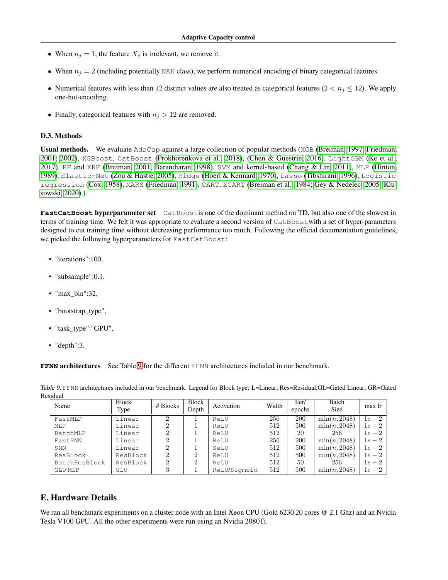- When  $n_j = 1$ , the feature  $X_j$  is irrelevant, we remove it.
- When  $n_j = 2$  (including potentially NAN class), we perform numerical encoding of binary categorical features.
- Numerical features with less than 12 distinct values are also treated as categorical features  $(2 < n<sub>j</sub> \le 12)$ . We apply one-hot-encoding.
- Finally, categorical features with  $n_j > 12$  are removed.

#### D.3. Methods

Usual methods. We evaluate AdaCap against a large collection of popular methods (XGB [\(Breiman, 1997;](#page-8-14) [Friedman,](#page-9-11) [2001;](#page-9-11) [2002\)](#page-9-12), XGBoost, CatBoost [\(Prokhorenkova et al., 2018\)](#page-10-7), [\(Chen & Guestrin, 2016\)](#page-8-7), LightGBM [\(Ke et al.,](#page-9-13) [2017\)](#page-9-13), RF and XRF [\(Breiman, 2001;](#page-8-9) [Barandiaran, 1998\)](#page-8-8), SVM and kernel-based [\(Chang & Lin, 2011\)](#page-8-16), MLP [\(Hinton,](#page-9-15) [1989\)](#page-9-15), Elastic-Net [\(Zou & Hastie, 2005\)](#page-11-7), Ridge [\(Hoerl & Kennard, 1970\)](#page-9-16), Lasso [\(Tibshirani, 1996\)](#page-11-6), Logistic regression [\(Cox, 1958\)](#page-8-17), MARS [\(Friedman, 1991\)](#page-8-18), CART, XCART [\(Breiman et al., 1984;](#page-8-15) [Gey & Nedelec, 2005;](#page-9-14) [Klu](#page-10-10)[sowski, 2020\)](#page-10-10) ).

**FastCatBoost** hyperparameter set CatBoostis one of the dominant method on TD, but also one of the slowest in terms of training time. We felt it was appropriate to evaluate a second version of CatBoostwith a set of hyper-parameters designed to cut training time without decreasing performance too much. Following the official documentation guidelines, we picked the following hyperparameters for FastCatBoost:

- "iterations":100,
- "subsample":0.1,
- "max bin":32,
- "bootstrap\_type",
- "task\_type":"GPU",
- "depth":3.

**FFNN** architectures See Table [9](#page-21-0) for the different FFNN architectures included in our benchmark.

| Name          | <b>Block</b><br>Type | $# \, \text{Blocks}$        | <b>Block</b><br>Depth | Activation   | Width | Iter/<br>epochs | Batch<br><b>Size</b> | max lr |
|---------------|----------------------|-----------------------------|-----------------------|--------------|-------|-----------------|----------------------|--------|
| FastMLP       | Linear               | 2                           |                       | ReLU         | 256   | <b>200</b>      | $\min(n, 2048)$      | $1e-2$ |
| MLP           | Linear               |                             |                       | ReLU         | 512   | 500             | $\min(n, 2048)$      | $1e-2$ |
| BatchMLP      | Linear               | $\overline{2}$              |                       | ReLU         | 512   | 20              | 256                  | $1e-2$ |
| FastSNN       | Linear               | 2                           |                       | ReLU         | 256   | <b>200</b>      | $\min(n, 2048)$      | $1e-2$ |
| SNN           | Linear               | 2                           |                       | SeLU         | 512   | 500             | $\min(n, 2048)$      | $1e-2$ |
| ResBlock      | ResBlock             | $\mathcal{D}_{\mathcal{L}}$ | $\Omega$              | ReLU         | 512   | 500             | $\min(n, 2048)$      | $1e-2$ |
| BatchResBlock | ResBlock             | 2                           | ച                     | ReLU         | 512   | 50              | 256                  | $1e-2$ |
| GLU MLP       | GLU                  | 3                           |                       | ReLU/Sigmoid | 512   | 500             | $\min(n, 2048)$      | $1e-2$ |

<span id="page-21-0"></span>Table 9. FFNN architectures included in our benchmark. Legend for Block type: L=Linear; Res=Residual,GL=Gated Linear; GR=Gated Residual

## E. Hardware Details

We ran all benchmark experiments on a cluster node with an Intel Xeon CPU (Gold 6230 20 cores @ 2.1 Ghz) and an Nvidia Tesla V100 GPU. All the other experiments were run using an Nvidia 2080Ti.